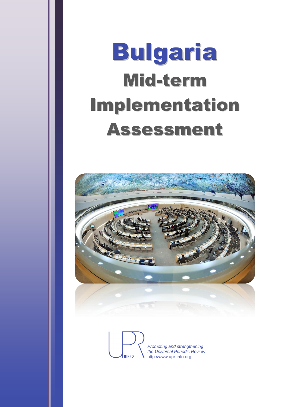# Bulgaria Mid-term Implementation Assessment



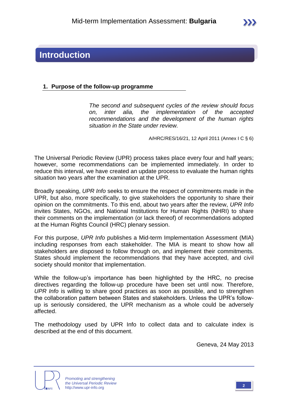#### **1. Purpose of the follow-up programme**

*The second and subsequent cycles of the review should focus on, inter alia, the implementation of the accepted recommendations and the development of the human rights situation in the State under review.*

A/HRC/RES/16/21, 12 April 2011 (Annex I C § 6)

The Universal Periodic Review (UPR) process takes place every four and half years; however, some recommendations can be implemented immediately. In order to reduce this interval, we have created an update process to evaluate the human rights situation two years after the examination at the UPR.

Broadly speaking, *UPR Info* seeks to ensure the respect of commitments made in the UPR, but also, more specifically, to give stakeholders the opportunity to share their opinion on the commitments. To this end, about two years after the review, *UPR Info* invites States, NGOs, and National Institutions for Human Rights (NHRI) to share their comments on the implementation (or lack thereof) of recommendations adopted at the Human Rights Council (HRC) plenary session.

For this purpose, *UPR Info* publishes a Mid-term Implementation Assessment (MIA) including responses from each stakeholder. The MIA is meant to show how all stakeholders are disposed to follow through on, and implement their commitments. States should implement the recommendations that they have accepted, and civil society should monitor that implementation.

While the follow-up's importance has been highlighted by the HRC, no precise directives regarding the follow-up procedure have been set until now. Therefore, *UPR Info* is willing to share good practices as soon as possible, and to strengthen the collaboration pattern between States and stakeholders. Unless the UPR's followup is seriously considered, the UPR mechanism as a whole could be adversely affected.

The methodology used by UPR Info to collect data and to calculate index is described at the end of this document.

Geneva, 24 May 2013



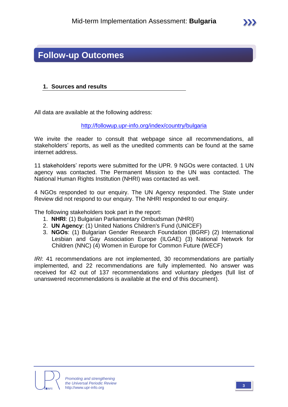### **Follow-up Outcomes**

#### **1. Sources and results**

All data are available at the following address:

<http://followup.upr-info.org/index/country/bulgaria>

We invite the reader to consult that webpage since all recommendations, all stakeholders' reports, as well as the unedited comments can be found at the same internet address.

11 stakeholders' reports were submitted for the UPR. 9 NGOs were contacted. 1 UN agency was contacted. The Permanent Mission to the UN was contacted. The National Human Rights Institution (NHRI) was contacted as well.

4 NGOs responded to our enquiry. The UN Agency responded. The State under Review did not respond to our enquiry. The NHRI responded to our enquiry.

The following stakeholders took part in the report:

- 1. **NHRI**: (1) Bulgarian Parliamentary Ombudsman (NHRI)
- 2. **UN Agency**: (1) United Nations Children's Fund (UNICEF)
- 3. **NGOs**: (1) Bulgarian Gender Research Foundation (BGRF) (2) International Lesbian and Gay Association Europe (ILGAE) (3) National Network for Children (NNC) (4) Women in Europe for Common Future (WECF)

*IRI*: 41 recommendations are not implemented, 30 recommendations are partially implemented, and 22 recommendations are fully implemented. No answer was received for 42 out of 137 recommendations and voluntary pledges (full list of unanswered recommendations is available at the end of this document).

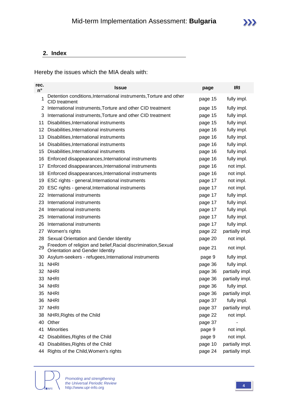#### **2. Index**

Hereby the issues which the MIA deals with:

| rec.<br>$n^{\circ}$ | <b>Issue</b>                                                                                     | page    | <b>IRI</b>      |
|---------------------|--------------------------------------------------------------------------------------------------|---------|-----------------|
| 1                   | Detention conditions, International instruments, Torture and other<br><b>CID</b> treatment       | page 15 | fully impl.     |
| 2                   | International instruments, Torture and other CID treatment                                       | page 15 | fully impl.     |
| 3                   | International instruments, Torture and other CID treatment                                       | page 15 | fully impl.     |
| 11                  | Disabilities, International instruments                                                          | page 15 | fully impl.     |
| 12                  | Disabilities, International instruments                                                          | page 16 | fully impl.     |
| 13                  | Disabilities, International instruments                                                          | page 16 | fully impl.     |
| 14                  | Disabilities, International instruments                                                          | page 16 | fully impl.     |
| 15                  | Disabilities, International instruments                                                          | page 16 | fully impl.     |
| 16                  | Enforced disappearances, International instruments                                               | page 16 | fully impl.     |
| 17                  | Enforced disappearances, International instruments                                               | page 16 | not impl.       |
| 18                  | Enforced disappearances, International instruments                                               | page 16 | not impl.       |
| 19                  | ESC rights - general, International instruments                                                  | page 17 | not impl.       |
| 20                  | ESC rights - general, International instruments                                                  | page 17 | not impl.       |
| 22                  | International instruments                                                                        | page 17 | fully impl.     |
| 23                  | International instruments                                                                        | page 17 | fully impl.     |
| 24                  | International instruments                                                                        | page 17 | fully impl.     |
| 25                  | International instruments                                                                        | page 17 | fully impl.     |
| 26                  | International instruments                                                                        | page 17 | fully impl.     |
| 27                  | Women's rights                                                                                   | page 22 | partially impl. |
| 28                  | Sexual Orientation and Gender Identity                                                           | page 20 | not impl.       |
| 29                  | Freedom of religion and belief, Racial discrimination, Sexual<br>Orientation and Gender Identity | page 21 | not impl.       |
| 30                  | Asylum-seekers - refugees, International instruments                                             | page 9  | fully impl.     |
| 31                  | <b>NHRI</b>                                                                                      | page 36 | fully impl.     |
| 32                  | <b>NHRI</b>                                                                                      | page 36 | partially impl. |
| 33                  | <b>NHRI</b>                                                                                      | page 36 | partially impl. |
|                     | 34 NHRI                                                                                          | page 36 | fully impl.     |
|                     | 35 NHRI                                                                                          | page 36 | partially impl. |
| 36                  | <b>NHRI</b>                                                                                      | page 37 | fully impl.     |
| 37                  | <b>NHRI</b>                                                                                      | page 37 | partially impl. |
| 38                  | NHRI, Rights of the Child                                                                        | page 22 | not impl.       |
| 40                  | Other                                                                                            | page 37 |                 |
| 41                  | <b>Minorities</b>                                                                                | page 9  | not impl.       |
| 42                  | Disabilities, Rights of the Child                                                                | page 9  | not impl.       |
| 43                  | Disabilities, Rights of the Child                                                                | page 10 | partially impl. |
| 44                  | Rights of the Child, Women's rights                                                              | page 24 | partially impl. |

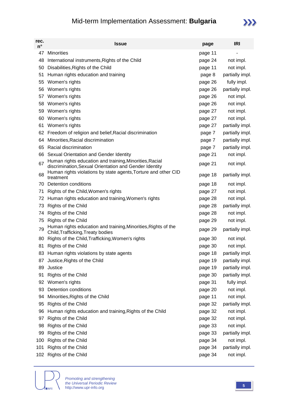### Mid-term Implementation Assessment: **Bulgaria**



| rec.<br>$n^{\circ}$ | <b>Issue</b>                                                                                                      | page    | <b>IRI</b>      |
|---------------------|-------------------------------------------------------------------------------------------------------------------|---------|-----------------|
| 47                  | <b>Minorities</b>                                                                                                 | page 11 |                 |
| 48                  | International instruments, Rights of the Child                                                                    | page 24 | not impl.       |
| 50                  | Disabilities, Rights of the Child                                                                                 | page 11 | not impl.       |
| 51                  | Human rights education and training                                                                               | page 8  | partially impl. |
| 55                  | Women's rights                                                                                                    | page 26 | fully impl.     |
| 56                  | Women's rights                                                                                                    | page 26 | partially impl. |
| 57                  | Women's rights                                                                                                    | page 26 | not impl.       |
| 58                  | Women's rights                                                                                                    | page 26 | not impl.       |
| 59                  | Women's rights                                                                                                    | page 27 | not impl.       |
| 60                  | Women's rights                                                                                                    | page 27 | not impl.       |
| 61                  | Women's rights                                                                                                    | page 27 | partially impl. |
| 62                  | Freedom of religion and belief, Racial discrimination                                                             | page 7  | partially impl. |
| 64                  | Minorities, Racial discrimination                                                                                 | page 7  | partially impl. |
| 65                  | Racial discrimination                                                                                             | page 7  | partially impl. |
| 66                  | Sexual Orientation and Gender Identity                                                                            | page 21 | not impl.       |
| 67                  | Human rights education and training, Minorities, Racial<br>discrimination, Sexual Orientation and Gender Identity | page 21 | not impl.       |
| 68                  | Human rights violations by state agents, Torture and other CID<br>treatment                                       | page 18 | partially impl. |
| 70                  | <b>Detention conditions</b>                                                                                       | page 18 | not impl.       |
| 71                  | Rights of the Child, Women's rights                                                                               | page 27 | not impl.       |
| 72                  | Human rights education and training, Women's rights                                                               | page 28 | not impl.       |
| 73                  | Rights of the Child                                                                                               | page 28 | partially impl. |
| 74                  | Rights of the Child                                                                                               | page 28 | not impl.       |
| 75                  | Rights of the Child                                                                                               | page 29 | not impl.       |
| 79                  | Human rights education and training, Minorities, Rights of the<br>Child, Trafficking, Treaty bodies               | page 29 | partially impl. |
| 80                  | Rights of the Child, Trafficking, Women's rights                                                                  | page 30 | not impl.       |
| 81                  | Rights of the Child                                                                                               | page 30 | not impl.       |
| 83                  | Human rights violations by state agents                                                                           | page 18 | partially impl. |
| 87                  | Justice, Rights of the Child                                                                                      | page 19 | partially impl. |
| 89                  | Justice                                                                                                           | page 19 | partially impl. |
| 91                  | Rights of the Child                                                                                               | page 30 | partially impl. |
| 92                  | Women's rights                                                                                                    | page 31 | fully impl.     |
| 93                  | Detention conditions                                                                                              | page 20 | not impl.       |
| 94                  | Minorities, Rights of the Child                                                                                   | page 11 | not impl.       |
| 95                  | Rights of the Child                                                                                               | page 32 | partially impl. |
| 96                  | Human rights education and training, Rights of the Child                                                          | page 32 | not impl.       |
| 97                  | Rights of the Child                                                                                               | page 32 | not impl.       |
| 98                  | Rights of the Child                                                                                               | page 33 | not impl.       |
| 99                  | Rights of the Child                                                                                               | page 33 | partially impl. |
| 100                 | Rights of the Child                                                                                               | page 34 | not impl.       |
| 101                 | Rights of the Child                                                                                               | page 34 | partially impl. |
| 102                 | Rights of the Child                                                                                               | page 34 | not impl.       |

**NINFO**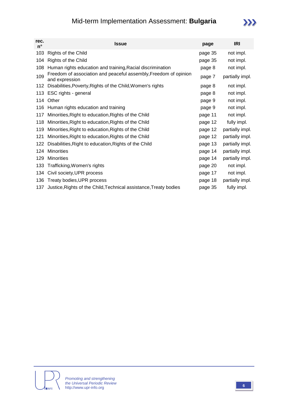### Mid-term Implementation Assessment: **Bulgaria**

| rec.<br>$n^{\circ}$ | <b>Issue</b>                                                                       | page    | <b>IRI</b>      |
|---------------------|------------------------------------------------------------------------------------|---------|-----------------|
| 103                 | Rights of the Child                                                                | page 35 | not impl.       |
| 104                 | Rights of the Child                                                                | page 35 | not impl.       |
| 108                 | Human rights education and training, Racial discrimination                         | page 8  | not impl.       |
| 109                 | Freedom of association and peaceful assembly, Freedom of opinion<br>and expression | page 7  | partially impl. |
| 112                 | Disabilities, Poverty, Rights of the Child, Women's rights                         | page 8  | not impl.       |
| 113                 | ESC rights - general                                                               | page 8  | not impl.       |
| 114                 | Other                                                                              | page 9  | not impl.       |
| 116                 | Human rights education and training                                                | page 9  | not impl.       |
| 117                 | Minorities, Right to education, Rights of the Child                                | page 11 | not impl.       |
| 118                 | Minorities, Right to education, Rights of the Child                                | page 12 | fully impl.     |
| 119                 | Minorities, Right to education, Rights of the Child                                | page 12 | partially impl. |
| 121                 | Minorities, Right to education, Rights of the Child                                | page 12 | partially impl. |
| 122                 | Disabilities, Right to education, Rights of the Child                              | page 13 | partially impl. |
| 124                 | <b>Minorities</b>                                                                  | page 14 | partially impl. |
| 129                 | <b>Minorities</b>                                                                  | page 14 | partially impl. |
| 133                 | Trafficking, Women's rights                                                        | page 20 | not impl.       |
| 134                 | Civil society, UPR process                                                         | page 17 | not impl.       |
| 136                 | Treaty bodies, UPR process                                                         | page 18 | partially impl. |
| 137                 | Justice, Rights of the Child, Technical assistance, Treaty bodies                  | page 35 | fully impl.     |



 $\sum$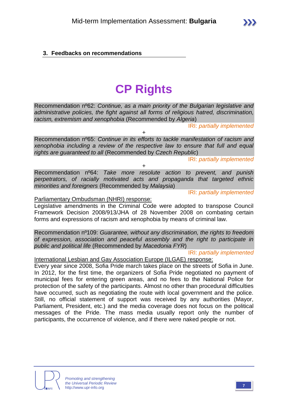# **CP Rights**

Recommendation nº62: *Continue, as a main priority of the Bulgarian legislative and administrative policies, the fight against all forms of religious hatred, discrimination, racism, extremism and xenophobia* (Recommended by *Algeria*)

IRI: *partially implemented*

Recommendation nº65: *Continue in its efforts to tackle manifestation of racism and xenophobia including a review of the respective law to ensure that full and equal rights are guaranteed to all* (Recommended by *Czech Republic*)

 $+$ 

IRI: *partially implemented*

Recommendation nº64: *Take more resolute action to prevent, and punish perpetrators, of racially motivated acts and propaganda that targeted ethnic minorities and foreigners* (Recommended by *Malaysia*)

+

IRI: *partially implemented*

#### Parliamentary Ombudsman (NHRI) response:

Legislative amendments in the Criminal Code were adopted to transpose Council Framework Decision 2008/913/JHA of 28 November 2008 on combating certain forms and expressions of racism and xenophobia by means of criminal law.

Recommendation nº109: *Guarantee, without any discrimination, the rights to freedom of expression, association and peaceful assembly and the right to participate in public and political life* (Recommended by *Macedonia FYR*)

IRI: *partially implemented*

International Lesbian and Gay Association Europe (ILGAE) response:

Every year since 2008, Sofia Pride march takes place on the streets of Sofia in June. In 2012, for the first time, the organizers of Sofia Pride negotiated no payment of municipal fees for entering green areas, and no fees to the National Police for protection of the safety of the participants. Almost no other than procedural difficulties have occurred, such as negotiating the route with local government and the police. Still, no official statement of support was received by any authorities (Mayor, Parliament, President, etc.) and the media coverage does not focus on the political messages of the Pride. The mass media usually report only the number of participants, the occurrence of violence, and if there were naked people or not.



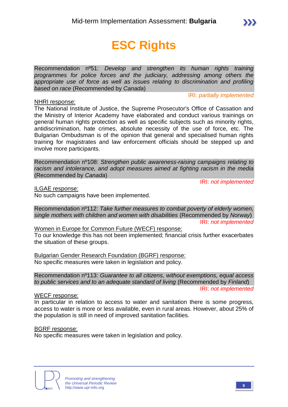# **ESC Rights**

Recommendation nº51: *Develop and strengthen its human rights training programmes for police forces and the judiciary, addressing among others the appropriate use of force as well as issues relating to discrimination and profiling based on race* (Recommended by *Canada*)

IRI: *partially implemented*

NHRI response: The National Institute of Justice, the Supreme Prosecutor's Office of Cassation and the Ministry of Interior Academy have elaborated and conduct various trainings on general human rights protection as well as specific subjects such as minority rights, antidiscrimination, hate crimes, absolute necessity of the use of force, etc. The Bulgarian Ombudsman is of the opinion that general and specialised human rights training for magistrates and law enforcement officials should be stepped up and involve more participants.

Recommendation nº108: *Strengthen public awareness-raising campaigns relating to racism and intolerance, and adopt measures aimed at fighting racism in the media* (Recommended by *Canada*)

IRI: *not implemented*

ILGAE response:

No such campaigns have been implemented.

Recommendation nº112: *Take further measures to combat poverty of elderly women, single mothers with children and women with disabilities* (Recommended by *Norway*) IRI: *not implemented*

Women in Europe for Common Future (WECF) response: To our knowledge this has not been implemented; financial crisis further exacerbates the situation of these groups.

Bulgarian Gender Research Foundation (BGRF) response: No specific measures were taken in legislation and policy.

Recommendation nº113: *Guarantee to all citizens, without exemptions, equal access to public services and to an adequate standard of living* (Recommended by *Finland*) IRI: *not implemented*

#### WECF response:

In particular in relation to access to water and sanitation there is some progress, access to water is more or less available, even in rural areas. However, about 25% of the population is still in need of improved sanitation facilities.

#### BGRF response:

No specific measures were taken in legislation and policy.

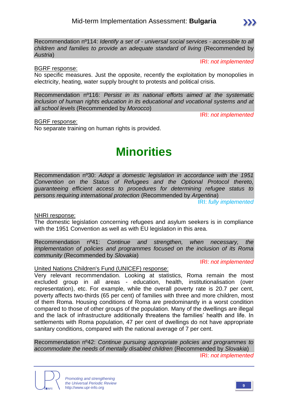Recommendation nº114: *Identify a set of - universal social services - accessible to all children and families to provide an adequate standard of living* (Recommended by *Austria*)

IRI: *not implemented*

 $\sum$ 

#### BGRF response:

No specific measures. Just the opposite, recently the exploitation by monopolies in electricity, heating, water supply brought to protests and political crisis.

Recommendation nº116: *Persist in its national efforts aimed at the systematic inclusion of human rights education in its educational and vocational systems and at all school levels* (Recommended by *Morocco*)

IRI: *not implemented*

BGRF response:

No separate training on human rights is provided.

# **Minorities**

Recommendation nº30: *Adopt a domestic legislation in accordance with the 1951 Convention on the Status of Refugees and the Optional Protocol thereto, guaranteeing efficient access to procedures for determining refugee status to persons requiring international protection* (Recommended by *Argentina*)

IRI: *fully implemented*

NHRI response:

The domestic legislation concerning refugees and asylum seekers is in compliance with the 1951 Convention as well as with EU legislation in this area.

Recommendation nº41: *Continue and strengthen, when necessary, the implementation of policies and programmes focused on the inclusion of its Roma community* (Recommended by *Slovakia*)

IRI: *not implemented*

#### United Nations Children's Fund (UNICEF) response:

Very relevant recommendation. Looking at statistics, Roma remain the most excluded group in all areas - education, health, institutionalisation (over representation), etc. For example, while the overall poverty rate is 20.7 per cent, poverty affects two-thirds (65 per cent) of families with three and more children, most of them Roma. Housing conditions of Roma are predominantly in a worst condition compared to those of other groups of the population. Many of the dwellings are illegal and the lack of infrastructure additionally threatens the families' health and life. In settlements with Roma population, 47 per cent of dwellings do not have appropriate sanitary conditions, compared with the national average of 7 per cent.

Recommendation nº42: *Continue pursuing appropriate policies and programmes to accommodate the needs of mentally disabled children* (Recommended by *Slovakia*) IRI: *not implemented*

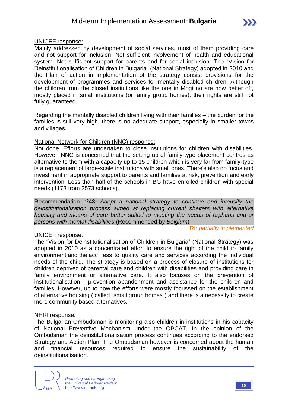#### Mid-term Implementation Assessment: **Bulgaria**

#### UNICEF response:

Mainly addressed by development of social services, most of them providing care and not support for inclusion. Not sufficient involvement of health and educational system. Not sufficient support for parents and for social inclusion. The "Vision for Deinstitutionalisation of Children in Bulgaria" (National Strategy) adopted in 2010 and the Plan of action in implementation of the strategy consist provisions for the development of programmes and services for mentally disabled children. Although the children from the closed institutions like the one in Mogilino are now better off, mostly placed in small institutions (or family group homes), their rights are still not fully guaranteed.

Regarding the mentally disabled children living with their families – the burden for the families is still very high, there is no adequate support, especially in smaller towns and villages.

#### National Network for Children (NNC) response:

Not done. Efforts are undertaken to close institutions for children with disabilities. However, NNC is concerned that the setting up of family-type placement centres as alternative to them with a capacity up to 15 children which is very far from family-type is a replacement of large-scale institutions with small ones. There's also no focus and investment in appropriate support to parents and families at risk, prevention and early intervention. Less than half of the schools in BG have enrolled children with special needs (1173 from 2573 schools).

Recommendation nº43: *Adopt a national strategy to continue and intensify the deinstitutionalization process aimed at replacing current shelters with alternative housing and means of care better suited to meeting the needs of orphans and-or persons with mental disabilities* (Recommended by *Belgium*)

#### UNICEF response:

IRI: *partially implemented*

The "Vision for Deinstitutionalisation of Children in Bulgaria" (National Strategy) was adopted in 2010 as a concentrated effort to ensure the right of the child to family environment and the acc ess to quality care and services according the individual needs of the child. The strategy is based on a process of closure of institutions for children deprived of parental care and children with disabilities and providing care in family environment or alternative care. It also focuses on the prevention of institutionalisation - prevention abandonment and assistance for the children and families. However, up to now the efforts were mostly focussed on the establishment of alternative housing ( called "small group homes") and there is a necessity to create more community based alternatives.

#### NHRI response:

The Bulgarian Ombudsman is monitoring also children in institutions in his capacity of National Preventive Mechanism under the OPCAT. In the opinion of the Ombudsman the deinstitutionalisation process continues according to the endorsed Strategy and Action Plan. The Ombudsman however is concerned about the human and financial resources required to ensure the sustainability of the deinstitutionalisation.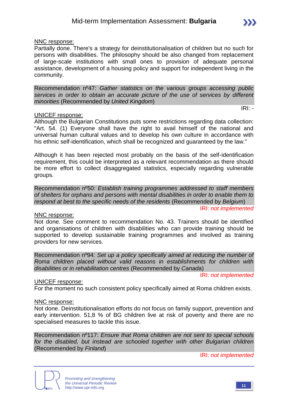IRI: *-*

#### NNC response:

Partially done. There's a strategy for deinstitutionalisation of children but no such for persons with disabilities. The philosophy should be also changed from replacement of large-scale institutions with small ones to provision of adequate personal assistance, development of a housing policy and support for independent living in the community.

Recommendation nº47: *Gather statistics on the various groups accessing public services in order to obtain an accurate picture of the use of services by different minorities* (Recommended by *United Kingdom*)

UNICEF response:

Although the Bulgarian Constitutions puts some restrictions regarding data collection: "Art. 54. (1) Everyone shall have the right to avail himself of the national and universal human cultural values and to develop his own culture in accordance with his ethnic self-identification, which shall be recognized and guaranteed by the law."

Although it has been rejected most probably on the basis of the self-identification requirement, this could be interpreted as a relevant recommendation as there should be more effort to collect disaggregated statistics, especially regarding vulnerable groups.

Recommendation nº50: *Establish training programmes addressed to staff members of shelters for orphans and persons with mental disabilities in order to enable them to respond at best to the specific needs of the residents* (Recommended by *Belgium*) IRI: *not implemented*

#### NNC response:

Not done. See comment to recommendation No. 43. Trainers should be identified and organisations of children with disabilities who can provide training should be supported to develop sustainable training programmes and involved as training providers for new services.

Recommendation nº94: *Set up a policy specifically aimed at reducing the number of Roma children placed without valid reasons in establishments for children with disabilities or in rehabilitation centres* (Recommended by *Canada*)

IRI: *not implemented*

#### UNICEF response:

For the moment no such consistent policy specifically aimed at Roma children exists.

#### NNC response:

Not done. Deinstitutionalisation efforts do not focus on family support, prevention and early intervention. 51,8 % of BG children live at risk of poverty and there are no specialised measures to tackle this issue.

Recommendation nº117: *Ensure that Roma children are not sent to special schools for the disabled, but instead are schooled together with other Bulgarian children* (Recommended by *Finland*)

IRI: *not implemented*



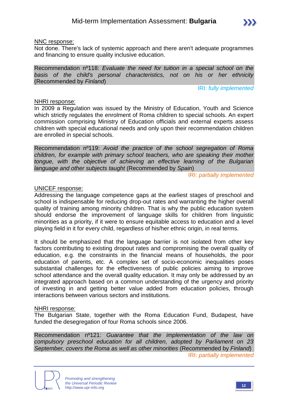#### NNC response:

Not done. There's lack of systemic approach and there aren't adequate programmes and financing to ensure quality inclusive education.

Recommendation nº118: *Evaluate the need for tuition in a special school on the basis of the child's personal characteristics, not on his or her ethnicity* (Recommended by *Finland*)

IRI: *fully implemented*

#### NHRI response:

In 2009 a Regulation was issued by the Ministry of Education, Youth and Science which strictly regulates the enrolment of Roma children to special schools. An expert commission comprising Ministry of Education officials and external experts assess children with special educational needs and only upon their recommendation children are enrolled in special schools.

Recommendation nº119: *Avoid the practice of the school segregation of Roma children, for example with primary school teachers, who are speaking their mother tongue, with the objective of achieving an effective learning of the Bulgarian language and other subjects taught* (Recommended by *Spain*)

IRI: *partially implemented*

#### UNICEF response:

Addressing the language competence gaps at the earliest stages of preschool and school is indispensable for reducing drop-out rates and warranting the higher overall quality of training among minority children. That is why the public education system should endorse the improvement of language skills for children from linguistic minorities as a priority, if it were to ensure equitable access to education and a level playing field in it for every child, regardless of his/her ethnic origin, in real terms.

It should be emphasized that the language barrier is not isolated from other key factors contributing to existing dropout rates and compromising the overall quality of education, e.g. the constraints in the financial means of households, the poor education of parents, etc. A complex set of socio-economic inequalities poses substantial challenges for the effectiveness of public policies aiming to improve school attendance and the overall quality education. It may only be addressed by an integrated approach based on a common understanding of the urgency and priority of investing in and getting better value added from education policies, through interactions between various sectors and institutions.

#### NHRI response:

The Bulgarian State, together with the Roma Education Fund, Budapest, have funded the desegregation of four Roma schools since 2006.

Recommendation nº121: *Guarantee that the implementation of the law on compulsory preschool education for all children, adopted by Parliament on 23 September, covers the Roma as well as other minorities* (Recommended by *Finland*) IRI: *partially implemented*

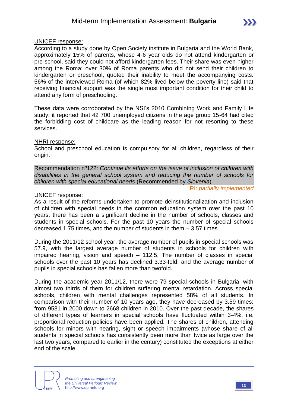#### UNICEF response:

According to a study done by Open Society institute in Bulgaria and the World Bank, approximately 15% of parents, whose 4-6 year olds do not attend kindergarten or pre-school, said they could not afford kindergarten fees. Their share was even higher among the Roma: over 30% of Roma parents who did not send their children to kindergarten or preschool, quoted their inability to meet the accompanying costs. 56% of the interviewed Roma (of which 82% lived below the poverty line) said that receiving financial support was the single most important condition for their child to attend any form of preschooling.

These data were corroborated by the NSI's 2010 Combining Work and Family Life study: it reported that 42 700 unemployed citizens in the age group 15-64 had cited the forbidding cost of childcare as the leading reason for not resorting to these services.

#### NHRI response:

School and preschool education is compulsory for all children, regardless of their origin.

Recommendation nº122: *Continue its efforts on the issue of inclusion of children with disabilities in the general school system and reducing the number of schools for children with special educational needs* (Recommended by *Slovenia*)

IRI: *partially implemented*

#### UNICEF response:

As a result of the reforms undertaken to promote deinstitutionalization and inclusion of children with special needs in the common education system over the past 10 years, there has been a significant decline in the number of schools, classes and students in special schools. For the past 10 years the number of special schools decreased 1.75 times, and the number of students in them – 3.57 times.

During the 2011/12 school year, the average number of pupils in special schools was 57.9, with the largest average number of students in schools for children with impaired hearing, vision and speech – 112.5, The number of classes in special schools over the past 10 years has declined 3.33-fold, and the average number of pupils in special schools has fallen more than twofold.

During the academic year 2011/12, there were 79 special schools in Bulgaria, with almost two thirds of them for children suffering mental retardation. Across special schools, children with mental challenges represented 58% of all students. In comparison with their number of 10 years ago, they have decreased by 3.59 times: from 9581 in 2000 down to 2668 children in 2010. Over the past decade, the shares of different types of learners in special schools have fluctuated within 3-4%, i.e. proportional reduction policies have been applied. The shares of children, attending schools for minors with hearing, sight or speech impairments (whose share of all students in special schools has consistently been more than twice as large over the last two years, compared to earlier in the century) constituted the exceptions at either end of the scale.

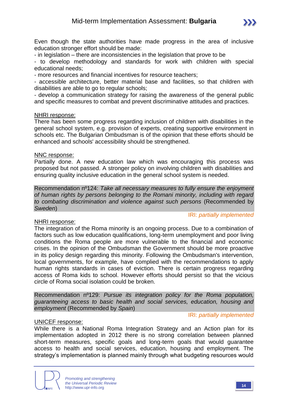- in legislation – there are inconsistencies in the legislation that prove to be

- to develop methodology and standards for work with children with special educational needs;

- more resources and financial incentives for resource teachers;

- accessible architecture, better material base and facilities, so that children with disabilities are able to go to regular schools;

- develop a communication strategy for raising the awareness of the general public and specific measures to combat and prevent discriminative attitudes and practices.

#### NHRI response:

There has been some progress regarding inclusion of children with disabilities in the general school system, e.g. provision of experts, creating supportive environment in schools etc. The Bulgarian Ombudsman is of the opinion that these efforts should be enhanced and schools' accessibility should be strengthened.

#### NNC response:

Partially done. A new education law which was encouraging this process was proposed but not passed. A stronger policy on involving children with disabilities and ensuring quality inclusive education in the general school system is needed.

Recommendation nº124: *Take all necessary measures to fully ensure the enjoyment of human rights by persons belonging to the Romani minority, including with regard to combating discrimination and violence against such persons* (Recommended by *Sweden*)

IRI: *partially implemented*

#### NHRI response:

The integration of the Roma minority is an ongoing process. Due to a combination of factors such as low education qualifications, long-term unemployment and poor living conditions the Roma people are more vulnerable to the financial and economic crises. In the opinion of the Ombudsman the Government should be more proactive in its policy design regarding this minority. Following the Ombudsman's intervention, local governments, for example, have complied with the recommendations to apply human rights standards in cases of eviction. There is certain progress regarding access of Roma kids to school. However efforts should persist so that the vicious circle of Roma social isolation could be broken.

Recommendation nº129: *Pursue its integration policy for the Roma population, guaranteeing access to basic health and social services, education, housing and employment* (Recommended by *Spain*)

#### UNICEF response:

IRI: *partially implemented*

While there is a National Roma Integration Strategy and an Action plan for its implementation adopted in 2012 there is no strong correlation between planned short-term measures, specific goals and long-term goals that would guarantee access to health and social services, education, housing and employment. The strategy's implementation is planned mainly through what budgeting resources would

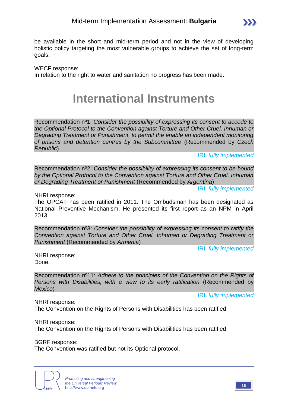

#### WECF response:

In relation to the right to water and sanitation no progress has been made.

### **International Instruments**

Recommendation nº1: *Consider the possibility of expressing its consent to accede to the Optional Protocol to the Convention against Torture and Other Cruel, Inhuman or Degrading Treatment or Punishment, to permit the enable an independent monitoring of prisons and detention centres by the Subcommittee* (Recommended by *Czech Republic*)

IRI: *fully implemented*

 $\sum$ 

Recommendation nº2: *Consider the possibility of expressing its consent to be bound by the Optional Protocol to the Convention against Torture and Other Cruel, Inhuman or Degrading Treatment or Punishment* (Recommended by *Argentina*)

+

IRI: *fully implemented*

#### NHRI response:

The OPCAT has been ratified in 2011. The Ombudsman has been designated as National Preventive Mechanism. He presented its first report as an NPM in April 2013.

Recommendation nº3: *Consider the possibility of expressing its consent to ratify the Convention against Torture and Other Cruel, Inhuman or Degrading Treatment or Punishment* (Recommended by *Armenia*)

IRI: *fully implemented*

IRI: *fully implemented*

NHRI response:

Done.

Recommendation nº11: *Adhere to the principles of the Convention on the Rights of Persons with Disabilities, with a view to its early ratification* (Recommended by *Mexico*)

#### NHRI response:

The Convention on the Rights of Persons with Disabilities has been ratified.

NHRI response:

The Convention on the Rights of Persons with Disabilities has been ratified.

#### BGRF response:

The Convention was ratified but not its Optional protocol.

*Promoting and strengthening the Universal Periodic Review* http://www.upr-info.org **<sup>15</sup>**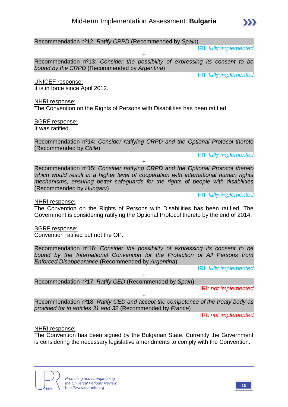Recommendation nº12: *Ratify CRPD* (Recommended by *Spain*)

IRI: *fully implemented*

+ Recommendation nº13: *Consider the possibility of expressing its consent to be bound by the CRPD* (Recommended by *Argentina*)

IRI: *fully implemented*

UNICEF response:

It is in force since April 2012.

NHRI response:

The Convention on the Rights of Persons with Disabilities has been ratified.

BGRF response: It was ratified

Recommendation nº14: *Consider ratifying CRPD and the Optional Protocol thereto* (Recommended by *Chile*)

+

IRI: *fully implemented*

Recommendation nº15: *Consider ratifying CRPD and the Optional Protocol thereto which would result in a higher level of cooperation with international human rights mechanisms, ensuring better safeguards for the rights of people with disabilities* (Recommended by *Hungary*)

IRI: *fully implemented*

NHRI response:

The Convention on the Rights of Persons with Disabilities has been ratified. The Government is considering ratifying the Optional Protocol thereto by the end of 2014.

BGRF response:

Convention ratified but not the OP.

Recommendation nº16: *Consider the possibility of expressing its consent to be bound by the International Convention for the Protection of All Persons from Enforced Disappearance* (Recommended by *Argentina*)

+

IRI: *fully implemented*

Recommendation nº17: *Ratify CED* (Recommended by *Spain*)

IRI: *not implemented*

+ Recommendation nº18: *Ratify CED and accept the competence of the treaty body as provided for in articles 31 and 32* (Recommended by *France*)

IRI: *not implemented*

#### NHRI response:

The Convention has been signed by the Bulgarian State. Currently the Government is considering the necessary legislative amendments to comply with the Convention.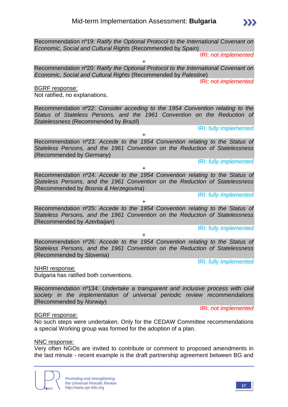Recommendation nº19: *Ratify the Optional Protocol to the International Covenant on Economic, Social and Cultural Rights* (Recommended by *Spain*)

IRI: *not implemented*

+

Recommendation nº20: *Ratify the Optional Protocol to the International Covenant on Economic, Social and Cultural Rights* (Recommended by *Palestine*)

IRI: *not implemented*

BGRF response:

Not ratified, no explanations.

Recommendation nº22: *Consider acceding to the 1954 Convention relating to the Status of Stateless Persons, and the 1961 Convention on the Reduction of Statelessness* (Recommended by *Brazil*)

IRI: *fully implemented*

Recommendation nº23: *Accede to the 1954 Convention relating to the Status of Stateless Persons, and the 1961 Convention on the Reduction of Statelessness*  (Recommended by *Germany*)

+

IRI: *fully implemented*

+ Recommendation nº24: *Accede to the 1954 Convention relating to the Status of Stateless Persons, and the 1961 Convention on the Reduction of Statelessness*  (Recommended by *Bosnia & Herzegovina*)

IRI: *fully implemented*

Recommendation nº25: *Accede to the 1954 Convention relating to the Status of Stateless Persons, and the 1961 Convention on the Reduction of Statelessness*  (Recommended by *Azerbaijan*)

+

IRI: *fully implemented*

+ Recommendation nº26: *Accede to the 1954 Convention relating to the Status of Stateless Persons, and the 1961 Convention on the Reduction of Statelessness*  (Recommended by *Slovenia*)

IRI: *fully implemented*

NHRI response: Bulgaria has ratified both conventions.

Recommendation nº134: *Undertake a transparent and inclusive process with civil society in the implementation of universal periodic review recommendations* (Recommended by *Norway*)

IRI: *not implemented*

BGRF response:

No such steps were undertaken. Only for the CEDAW Committee recommendations a special Working group was formed for the adoption of a plan.

#### NNC response:

Very often NGOs are invited to contribute or comment to proposed amendments in the last minute - recent example is the draft partnership agreement between BG and

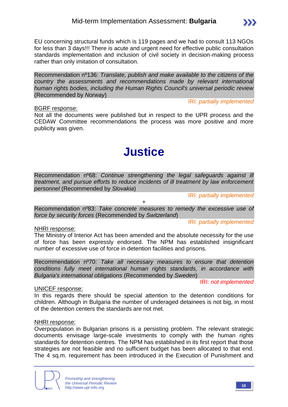EU concerning structural funds which is 119 pages and we had to consult 113 NGOs for less than 3 days!!! There is acute and urgent need for effective public consultation standards implementation and inclusion of civil society in decision-making process rather than only imitation of consultation.

Recommendation nº136: *Translate, publish and make available to the citizens of the country the assessments and recommendations made by relevant international human rights bodies, including the Human Rights Council's universal periodic review* (Recommended by *Norway*)

#### BGRF response:

IRI: *partially implemented*

 $\sum$ 

Not all the documents were published but in respect to the UPR process and the CEDAW Committee recommendations the process was more positive and more publicity was given.

# **Justice**

Recommendation nº68: *Continue strengthening the legal safeguards against ill treatment, and pursue efforts to reduce incidents of ill treatment by law enforcement personnel* (Recommended by *Slovakia*)

IRI: *partially implemented*

+

Recommendation nº83: *Take concrete measures to remedy the excessive use of force by security forces* (Recommended by *Switzerland*)

IRI: *partially implemented*

#### NHRI response:

The Ministry of Interior Act has been amended and the absolute necessity for the use of force has been expressly endorsed. The NPM has established insignificant number of excessive use of force in detention facilities and prisons.

Recommendation nº70: *Take all necessary measures to ensure that detention conditions fully meet international human rights standards, in accordance with Bulgaria's international obligations* (Recommended by *Sweden*)

IRI: *not implemented*

#### UNICEF response:

In this regards there should be special attention to the detention conditions for children. Although in Bulgaria the number of underaged detainees is not big, in most of the detention centers the standards are not met.

#### NHRI response:

Overpopulation in Bulgarian prisons is a persisting problem. The relevant strategic documents envisage large-scale investments to comply with the human rights standards for detention centres. The NPM has established in its first report that those strategies are not feasible and no sufficient budget has been allocated to that end. The 4 sq.m. requirement has been introduced in the Execution of Punishment and

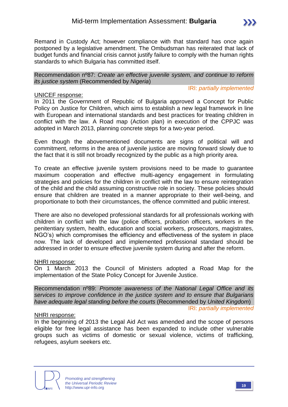

Recommendation nº87: *Create an effective juvenile system, and continue to reform its justice system* (Recommended by *Nigeria*)

IRI: *partially implemented*

#### UNICEF response:

In 2011 the Government of Republic of Bulgaria approved a Concept for Public Policy on Justice for Children, which aims to establish a new legal framework in line with European and international standards and best practices for treating children in conflict with the law. A Road map (Action plan) in execution of the CPPJC was adopted in March 2013, planning concrete steps for a two-year period.

Even though the abovementioned documents are signs of political will and commitment, reforms in the area of juvenile justice are moving forward slowly due to the fact that it is still not broadly recognized by the public as a high priority area.

To create an effective juvenile system provisions need to be made to guarantee maximum cooperation and effective multi-agency engagement in formulating strategies and policies for the children in conflict with the law to ensure reintegration of the child and the child assuming constructive role in society. These policies should ensure that children are treated in a manner appropriate to their well-being, and proportionate to both their circumstances, the offence committed and public interest.

There are also no developed professional standards for all professionals working with children in conflict with the law (police officers, probation officers, workers in the penitentiary system, health, education and social workers, prosecutors, magistrates, NGO's) which compromises the efficiency and effectiveness of the system in place now. The lack of developed and implemented professional standard should be addressed in order to ensure effective juvenile system during and after the reform.

#### NHRI response:

On 1 March 2013 the Council of Ministers adopted a Road Map for the implementation of the State Policy Concept for Juvenile Justice.

Recommendation nº89: *Promote awareness of the National Legal Office and its services to improve confidence in the justice system and to ensure that Bulgarians have adequate legal standing before the courts* (Recommended by *United Kingdom*) IRI: *partially implemented*

#### NHRI response:

In the beginning of 2013 the Legal Aid Act was amended and the scope of persons eligible for free legal assistance has been expanded to include other vulnerable groups such as victims of domestic or sexual violence, victims of trafficking, refugees, asylum seekers etc.

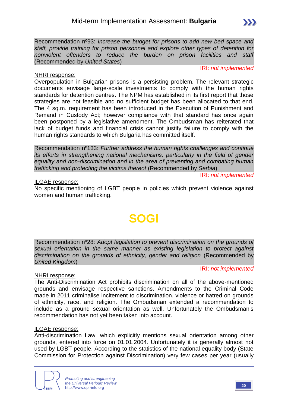Recommendation nº93: *Increase the budget for prisons to add new bed space and staff, provide training for prison personnel and explore other types of detention for nonviolent offenders to reduce the burden on prison facilities and staff* (Recommended by *United States*)

#### NHRI response:

IRI: *not implemented*

Overpopulation in Bulgarian prisons is a persisting problem. The relevant strategic documents envisage large-scale investments to comply with the human rights standards for detention centres. The NPM has established in its first report that those strategies are not feasible and no sufficient budget has been allocated to that end. The 4 sq.m. requirement has been introduced in the Execution of Punishment and Remand in Custody Act; however compliance with that standard has once again been postponed by a legislative amendment. The Ombudsman has reiterated that lack of budget funds and financial crisis cannot justify failure to comply with the human rights standards to which Bulgaria has committed itself.

Recommendation nº133: *Further address the human rights challenges and continue its efforts in strengthening national mechanisms, particularly in the field of gender equality and non-discrimination and in the area of preventing and combating human trafficking and protecting the victims thereof* (Recommended by *Serbia*)

IRI: *not implemented*

#### ILGAE response:

No specific mentioning of LGBT people in policies which prevent violence against women and human trafficking.

# **SOGI**

Recommendation nº28: *Adopt legislation to prevent discrimination on the grounds of sexual orientation in the same manner as existing legislation to protect against*  discrimination on the grounds of ethnicity, gender and religion (Recommended by *United Kingdom*)

#### IRI: *not implemented*

#### NHRI response:

The Anti-Discrimination Act prohibits discrimination on all of the above-mentioned grounds and envisage respective sanctions. Amendments to the Criminal Code made in 2011 criminalise incitement to discrimination, violence or hatred on grounds of ethnicity, race, and religion. The Ombudsman extended a recommendation to include as a ground sexual orientation as well. Unfortunately the Ombudsman's recommendation has not yet been taken into account.

#### ILGAE response:

Anti-discrimination Law, which explicitly mentions sexual orientation among other grounds, entered into force on 01.01.2004. Unfortunately it is generally almost not used by LGBT people. According to the statistics of the national equality body (State Commission for Protection against Discrimination) very few cases per year (usually

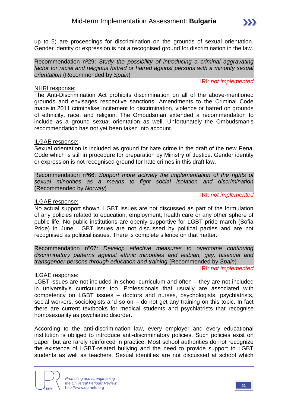up to 5) are proceedings for discrimination on the grounds of sexual orientation. Gender identity or expression is not a recognised ground for discrimination in the law.

Recommendation nº29: *Study the possibility of introducing a criminal aggravating factor for racial and religious hatred or hatred against persons with a minority sexual orientation* (Recommended by *Spain*)

#### NHRI response:

#### IRI: *not implemented*

The Anti-Discrimination Act prohibits discrimination on all of the above-mentioned grounds and envisages respective sanctions. Amendments to the Criminal Code made in 2011 criminalise incitement to discrimination, violence or hatred on grounds of ethnicity, race, and religion. The Ombudsman extended a recommendation to include as a ground sexual orientation as well. Unfortunately the Ombudsman's recommendation has not yet been taken into account.

#### ILGAE response:

Sexual orientation is included as ground for hate crime in the draft of the new Penal Code which is still in procedure for preparation by Ministry of Justice. Gender identity or expression is not recognised ground for hate crimes in this draft law.

Recommendation nº66: *Support more actively the implementation of the rights of sexual minorities as a means to fight social isolation and discrimination* (Recommended by *Norway*)

#### ILGAE response:

IRI: *not implemented*

No actual support shown. LGBT issues are not discussed as part of the formulation of any policies related to education, employment, health care or any other sphere of public life. No public institutions are openly supportive for LGBT pride march (Sofia Pride) in June. LGBT issues are not discussed by political parties and are not recognised as political issues. There is complete silence on that matter.

Recommendation nº67: *Develop effective measures to overcome continuing discriminatory patterns against ethnic minorities and lesbian, gay, bisexual and transgender persons through education and training* (Recommended by *Spain*) IRI: *not implemented*

#### ILGAE response:

LGBT issues are not included in school curriculum and often – they are not included in university's curriculums too. Professionals that usually are associated with competency on LGBT issues – doctors and nurses, psychologists, psychiatrists, social workers, sociologists and so on – do not get any training on this topic. In fact there are current textbooks for medical students and psychiatrists that recognise homosexuality as psychiatric disorder.

According to the anti-discrimination law, every employer and every educational institution is obliged to introduce anti-discriminatory policies. Such policies exist on paper, but are rarely reinforced in practice. Most school authorities do not recognize the existence of LGBT-related bullying and the need to provide support to LGBT students as well as teachers. Sexual identities are not discussed at school which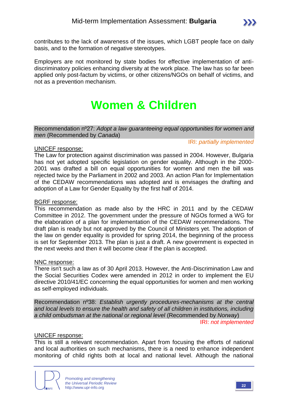contributes to the lack of awareness of the issues, which LGBT people face on daily basis, and to the formation of negative stereotypes.

Employers are not monitored by state bodies for effective implementation of antidiscriminatory policies enhancing diversity at the work place. The law has so far been applied only post-factum by victims, or other citizens/NGOs on behalf of victims, and not as a prevention mechanism.

# **Women & Children**

Recommendation nº27: *Adopt a law guaranteeing equal opportunities for women and men* (Recommended by *Canada*)

#### UNICEF response:

The Law for protection against discrimination was passed in 2004. However, Bulgaria has not vet adopted specific legislation on gender equality. Although in the 2000-2001 was drafted a bill on equal opportunities for women and men the bill was rejected twice by the Parliament in 2002 and 2003. An action Plan for Implementation of the CEDAW recommendations was adopted and is envisages the drafting and adoption of a Law for Gender Equality by the first half of 2014.

#### BGRF response:

This recommendation as made also by the HRC in 2011 and by the CEDAW Committee in 2012. The government under the pressure of NGOs formed a WG for the elaboration of a plan for implementation of the CEDAW recommendations. The draft plan is ready but not approved by the Council of Ministers yet. The adoption of the law on gender equality is provided for spring 2014, the beginning of the process is set for September 2013. The plan is just a draft. A new government is expected in the next weeks and then it will become clear if the plan is accepted.

#### NNC response:

There isn't such a law as of 30 April 2013. However, the Anti-Discrimination Law and the Social Securities Codex were amended in 2012 in order to implement the EU directive 2010/41/EC concerning the equal opportunities for women and men working as self-employed individuals.

Recommendation nº38: *Establish urgently procedures-mechanisms at the central and local levels to ensure the health and safety of all children in institutions, including a child ombudsman at the national or regional level* (Recommended by *Norway*)

IRI: *not implemented*

IRI: *partially implemented*

#### UNICEF response:

This is still a relevant recommendation. Apart from focusing the efforts of national and local authorities on such mechanisms, there is a need to enhance independent monitoring of child rights both at local and national level. Although the national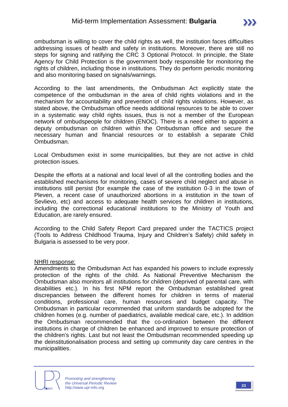ombudsman is willing to cover the child rights as well, the institution faces difficulties addressing issues of health and safety in institutions. Moreover, there are still no steps for signing and ratifying the CRC 3 Optional Protocol. In principle, the State Agency for Child Protection is the government body responsible for monitoring the rights of children, including those in institutions. They do perform periodic monitoring and also monitoring based on signals/warnings.

According to the last amendments, the Ombudsman Act explicitly state the competence of the ombudsman in the area of child rights violations and in the mechanism for accountability and prevention of child rights violations. However, as stated above, the Ombudsman office needs additional resources to be able to cover in a systematic way child rights issues, thus is not a member of the European network of ombudspeople for children (ENOC). There is a need either to appoint a deputy ombudsman on children within the Ombudsman office and secure the necessary human and financial resources or to establish a separate Child Ombudsman.

Local Ombudsmen exist in some municipalities, but they are not active in child protection issues.

Despite the efforts at a national and local level of all the controlling bodies and the established mechanisms for monitoring, cases of severe child neglect and abuse in institutions still persist (for example the case of the institution 0-3 in the town of Pleven, a recent case of unauthorized abortions in a institution in the town of Sevlievo, etc) and access to adequate health services for children in institutions, including the correctional educational institutions to the Ministry of Youth and Education, are rarely ensured.

According to the Child Safety Report Card prepared under the TACTICS project (Tools to Address Childhood Trauma, Injury and Children's Safety) child safety in Bulgaria is assessed to be very poor.

#### NHRI response:

Amendments to the Ombudsman Act has expanded his powers to include expressly protection of the rights of the child. As National Preventive Mechanism the Ombudsman also monitors all institutions for children (deprived of parental care, with disabilities etc.). In his first NPM report the Ombudsman established great discrepancies between the different homes for children in terms of material conditions, professional care, human resources and budget capacity. The Ombudsman in particular recommended that uniform standards be adopted for the children homes (e.g. number of paediatrics, available medical care, etc.). In addition the Ombudsman recommended that the co-ordination between the different institutions in charge of children be enhanced and improved to ensure protection of the children's rights. Last but not least the Ombudsman recommended speeding up the deinstitutionalisation process and setting up community day care centres in the municipalities.

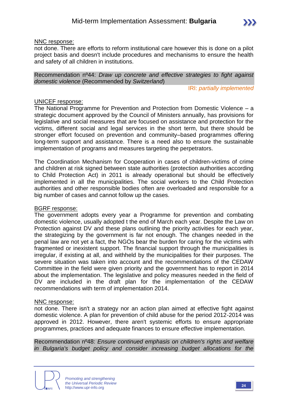

not done. There are efforts to reform institutional care however this is done on a pilot project basis and doesn't include procedures and mechanisms to ensure the health and safety of all children in institutions.

Recommendation nº44: *Draw up concrete and effective strategies to fight against domestic violence* (Recommended by *Switzerland*)

IRI: *partially implemented*

#### UNICEF response:

The National Programme for Prevention and Protection from Domestic Violence – a strategic document approved by the Council of Ministers annually, has provisions for legislative and social measures that are focused on assistance and protection for the victims, different social and legal services in the short term, but there should be stronger effort focused on prevention and community–based programmes offering long-term support and assistance. There is a need also to ensure the sustainable implementation of programs and measures targeting the perpetrators.

The Coordination Mechanism for Cooperation in cases of children-victims of crime and children at risk signed between state authorities (protection authorities according to Child Protection Act) in 2011 is already operational but should be effectively implemented in all the municipalities. The social workers to the Child Protection authorities and other responsible bodies often are overloaded and responsible for a big number of cases and cannot follow up the cases.

#### BGRF response:

The government adopts every year a Programme for prevention and combating domestic violence, usually adopted t the end of March each year. Despite the Law on Protection against DV and these plans outlining the priority activities for each year, the strategizing by the government is far not enough. The changes needed in the penal law are not yet a fact, the NGOs bear the burden for caring for the victims with fragmented or inexistent support. The financial support through the municipalities is irregular, if existing at all, and withheld by the municipalities for their purposes. The severe situation was taken into account and the recommendations of the CEDAW Committee in the field were given priority and the government has to report in 2014 about the implementation. The legislative and policy measures needed in the field of DV are included in the draft plan for the implementation of the CEDAW recommendations with term of implementation 2014.

#### NNC response:

not done. There isn't a strategy nor an action plan aimed at effective fight against domestic violence. A plan for prevention of child abuse for the period 2012-2014 was approved in 2012. However, there aren't systemic efforts to ensure appropriate programmes, practices and adequate finances to ensure effective implementation.

Recommendation nº48: *Ensure continued emphasis on children's rights and welfare in Bulgaria's budget policy and consider increasing budget allocations for the*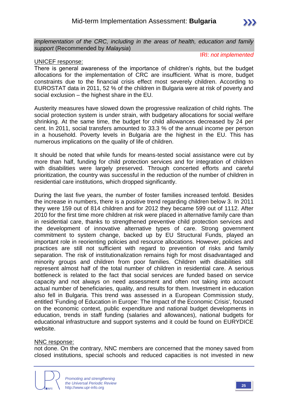

#### IRI: *not implemented*

#### UNICEF response:

There is general awareness of the importance of children's rights, but the budget allocations for the implementation of CRC are insufficient. What is more, budget constraints due to the financial crisis effect most severely children. According to EUROSTAT data in 2011, 52 % of the children in Bulgaria were at risk of poverty and social exclusion – the highest share in the EU.

Austerity measures have slowed down the progressive realization of child rights. The social protection system is under strain, with budgetary allocations for social welfare shrinking. At the same time, the budget for child allowances decreased by 24 per cent. In 2011, social transfers amounted to 33.3 % of the annual income per person in a household. Poverty levels in Bulgaria are the highest in the EU. This has numerous implications on the quality of life of children.

It should be noted that while funds for means-tested social assistance were cut by more than half, funding for child protection services and for integration of children with disabilities were largely preserved. Through concerted efforts and careful prioritization, the country was successful in the reduction of the number of children in residential care institutions, which dropped significantly.

During the last five years, the number of foster families increased tenfold. Besides the increase in numbers, there is a positive trend regarding children below 3. In 2011 they were 159 out of 814 children and for 2012 they became 599 out of 1112. After 2010 for the first time more children at risk were placed in alternative family care than in residential care, thanks to strengthened preventive child protection services and the development of innovative alternative types of care. Strong government commitment to system change, backed up by EU Structural Funds, played an important role in reorienting policies and resource allocations. However, policies and practices are still not sufficient with regard to prevention of risks and family separation. The risk of institutionalization remains high for most disadvantaged and minority groups and children from poor families. Children with disabilities still represent almost half of the total number of children in residential care. A serious bottleneck is related to the fact that social services are funded based on service capacity and not always on need assessment and often not taking into account actual number of beneficiaries, quality, and results for them. Investment in education also fell in Bulgaria. This trend was assessed in a European Commission study, entitled 'Funding of Education in Europe: The Impact of the Economic Crisis', focused on the economic context, public expenditure and national budget developments in education, trends in staff funding (salaries and allowances), national budgets for educational infrastructure and support systems and it could be found on EURYDICE website.

#### NNC response:

not done. On the contrary, NNC members are concerned that the money saved from closed institutions, special schools and reduced capacities is not invested in new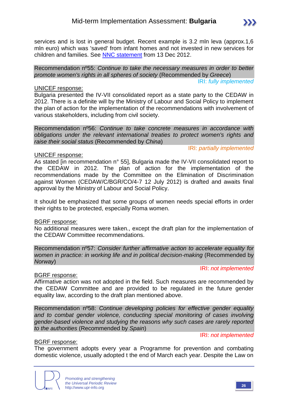services and is lost in general budget. Recent example is 3.2 mln leva (approx.1,6 mln euro) which was 'saved' from infant homes and not invested in new services for children and families. See [NNC statement](http://nmd.bg/news/32-miliona-leva-za-detsata-v-risk-shte-se-badat-otkloneni-za-finansiraneto-na-kravnite-tsentrove/) from 13 Dec 2012.

Recommendation nº55: *Continue to take the necessary measures in order to better promote women's rights in all spheres of society* (Recommended by *Greece*) IRI: *fully implemented*

#### UNICEF response:

Bulgaria presented the IV-VII consolidated report as a state party to the CEDAW in 2012. There is a definite will by the Ministry of Labour and Social Policy to implement the plan of action for the implementation of the recommendations with involvement of various stakeholders, including from civil society.

Recommendation nº56: *Continue to take concrete measures in accordance with obligations under the relevant international treaties to protect women's rights and raise their social status* (Recommended by *China*)

IRI: *partially implemented*

#### UNICEF response:

As stated [in recommendation n° 55], Bulgaria made the IV-VII consolidated report to the CEDAW in 2012. The plan of action for the implementation of the recommendations made by the Committee on the Elimination of Discrimination against Women (CEDAW/C/BGR/CO/4-7 12 July 2012) is drafted and awaits final approval by the Ministry of Labour and Social Policy.

It should be emphasized that some groups of women needs special efforts in order their rights to be protected, especially Roma women.

#### BGRF response:

No additional measures were taken., except the draft plan for the implementation of the CEDAW Committee recommendations.

Recommendation nº57: *Consider further affirmative action to accelerate equality for women in practice: in working life and in political decision-making* (Recommended by *Norway*)

#### IRI: *not implemented*

#### BGRF response:

Affirmative action was not adopted in the field. Such measures are recommended by the CEDAW Committee and are provided to be regulated in the future gender equality law, according to the draft plan mentioned above.

Recommendation nº58: *Continue developing policies for effective gender equality*  and to combat gender violence, conducting special monitoring of cases involving *gender-based violence and studying the reasons why such cases are rarely reported to the authorities* (Recommended by *Spain*)

#### IRI: *not implemented*

BGRF response: The government adopts every year a Programme for prevention and combating domestic violence, usually adopted t the end of March each year. Despite the Law on

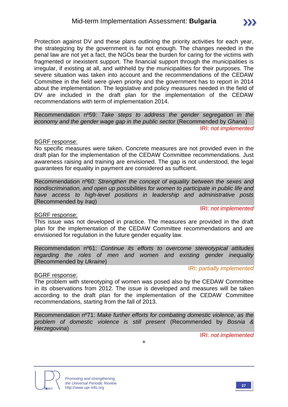Protection against DV and these plans outlining the priority activities for each year, the strategizing by the government is far not enough. The changes needed in the penal law are not yet a fact, the NGOs bear the burden for caring for the victims with fragmented or inexistent support. The financial support through the municipalities is irregular, if existing at all, and withheld by the municipalities for their purposes. The severe situation was taken into account and the recommendations of the CEDAW Committee in the field were given priority and the government has to report in 2014 about the implementation. The legislative and policy measures needed in the field of DV are included in the draft plan for the implementation of the CEDAW recommendations with term of implementation 2014.

Recommendation nº59: *Take steps to address the gender segregation in the economy and the gender wage gap in the public sector* (Recommended by *Ghana*) IRI: *not implemented*

#### BGRF response:

No specific measures were taken. Concrete measures are not provided even in the draft plan for the implementation of the CEDAW Committee recommendations. Just awareness raising and training are envisioned. The gap is not understood, the legal guarantees for equality in payment are considered as sufficient.

Recommendation nº60: *Strengthen the concept of equality between the sexes and nondiscrimination, and open up possibilities for women to participate in public life and have access to high-level positions in leadership and administrative posts* (Recommended by *Iraq*)

#### BGRF response:

This issue was not developed in practice. The measures are provided in the draft plan for the implementation of the CEDAW Committee recommendations and are envisioned for regulation in the future gender equality law.

Recommendation nº61: *Continue its efforts to overcome stereotypical attitudes regarding the roles of men and women and existing gender inequality* (Recommended by *Ukraine*)

#### IRI: *partially implemented*

IRI: *not implemented*

#### BGRF response:

The problem with stereotyping of women was posed also by the CEDAW Committee in its observations from 2012. The issue is developed and measures will be taken according to the draft plan for the implementation of the CEDAW Committee recommendations, starting from the fall of 2013.

Recommendation nº71: *Make further efforts for combating domestic violence, as the problem of domestic violence is still present* (Recommended by *Bosnia & Herzegovina*)

+

IRI: *not implemented*



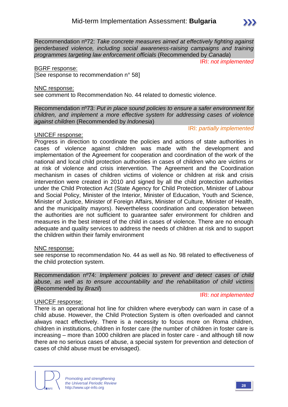Recommendation nº72: *Take concrete measures aimed at effectively fighting against genderbased violence, including social awareness-raising campaigns and training programmes targeting law enforcement officials* (Recommended by *Canada*)

IRI: *not implemented*

#### BGRF response:

[See response to recommendation n° 58]

#### NNC response:

see comment to Recommendation No. 44 related to domestic violence.

Recommendation nº73: *Put in place sound policies to ensure a safer environment for children, and implement a more effective system for addressing cases of violence against children* (Recommended by *Indonesia*)

#### IRI: *partially implemented*

#### UNICEF response:

Progress in direction to coordinate the policies and actions of state authorities in cases of violence against children was made with the development and implementation of the Agreement for cooperation and coordination of the work of the national and local child protection authorities in cases of children who are victims or at risk of violence and crisis intervention. The Agreement and the Coordination mechanism in cases of children victims of violence or children at risk and crisis intervention were created in 2010 and signed by all the child protection authorities under the Child Protection Act (State Agency for Child Protection, Minister of Labour and Social Policy, Minister of the Interior, Minister of Education, Youth and Science, Minister of Justice, Minister of Foreign Affairs, Minister of Culture, Minister of Health, and the municipality mayors). Nevertheless coordination and cooperation between the authorities are not sufficient to guarantee safer environment for children and measures in the best interest of the child in cases of violence. There are no enough adequate and quality services to address the needs of children at risk and to support the children within their family environment

#### NNC response:

see response to recommendation No. 44 as well as No. 98 related to effectiveness of the child protection system.

Recommendation nº74: *Implement policies to prevent and detect cases of child abuse, as well as to ensure accountability and the rehabilitation of child victims* (Recommended by *Brazil*)

#### UNICEF response:

IRI: *not implemented*

There is an operational hot line for children where everybody can warn in case of a child abuse. However, the Child Protection System is often overloaded and cannot always react effectively. There is a necessity to focus more on Roma children, children in institutions, children in foster care (the number of children in foster care is increasing – more than 1000 children are placed in foster care - and although till now there are no serious cases of abuse, a special system for prevention and detection of cases of child abuse must be envisaged).

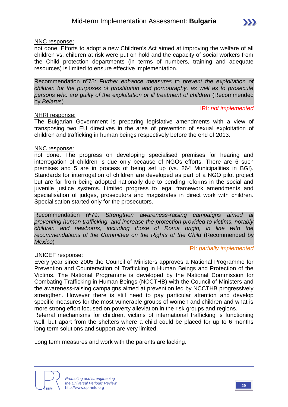not done. Efforts to adopt a new Children's Act aimed at improving the welfare of all children vs. children at risk were put on hold and the capacity of social workers from the Child protection departments (in terms of numbers, training and adequate resources) is limited to ensure effective implementation.

Recommendation nº75: *Further enhance measures to prevent the exploitation of children for the purposes of prostitution and pornography, as well as to prosecute persons who are guilty of the exploitation or ill treatment of children* (Recommended by *Belarus*)

#### NHRI response:

The Bulgarian Government is preparing legislative amendments with a view of transposing two EU directives in the area of prevention of sexual exploitation of children and trafficking in human beings respectively before the end of 2013.

#### NNC response:

not done. The progress on developing specialised premises for hearing and interrogation of children is due only because of NGOs efforts. There are 6 such premises and 5 are in process of being set up (vs. 264 Municipalities in BG!). Standards for interrogation of children are developed as part of a NGO pilot project but are far from being adopted nationally due to pending reforms in the social and juvenile justice systems. Limited progress to legal framework amendments and specialisation of judges, prosecutors and magistrates in direct work with children. Specialisation started only for the prosecutors.

Recommendation nº79: *Strengthen awareness-raising campaigns aimed at preventing human trafficking, and increase the protection provided to victims, notably children and newborns, including those of Roma origin, in line with the recommendations of the Committee on the Rights of the Child* (Recommended by *Mexico*)

#### UNICEF response:

Every year since 2005 the Council of Ministers approves a National Programme for Prevention and Counteraction of Trafficking in Human Beings and Protection of the Victims. The National Programme is developed by the National Commission for Combating Trafficking in Human Beings (NCCTHB) with the Council of Ministers and the awareness-raising campaigns aimed at prevention led by NCCTHB progressively strengthen. However there is still need to pay particular attention and develop specific measures for the most vulnerable groups of women and children and what is more strong effort focused on poverty alleviation in the risk groups and regions.

Referral mechanisms for children, victims of international trafficking is functioning well, but apart from the shelters where a child could be placed for up to 6 months long term solutions and support are very limited.

Long term measures and work with the parents are lacking.



IRI: *not implemented*

IRI: *partially implemented*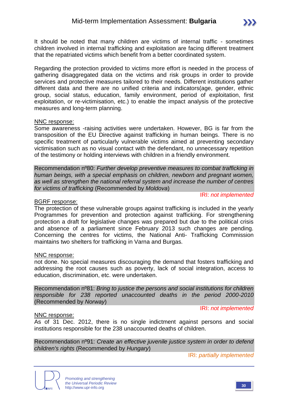It should be noted that many children are victims of internal traffic - sometimes children involved in internal trafficking and exploitation are facing different treatment that the repatriated victims which benefit from a better coordinated system.

Regarding the protection provided to victims more effort is needed in the process of gathering disaggregated data on the victims and risk groups in order to provide services and protective measures tailored to their needs. Different institutions gather different data and there are no unified criteria and indicators(age, gender, ethnic group, social status, education, family environment, period of exploitation, first exploitation, or re-victimisation, etc.) to enable the impact analysis of the protective measures and long-term planning.

#### NNC response:

Some awareness -raising activities were undertaken. However, BG is far from the transposition of the EU Directive against trafficking in human beings. There is no specific treatment of particularly vulnerable victims aimed at preventing secondary victimisation such as no visual contact with the defendant, no unnecessary repetition of the testimony or holding interviews with children in a friendly environment.

Recommendation nº80: *Further develop preventive measures to combat trafficking in human beings, with a special emphasis on children, newborn and pregnant women, as well as strengthen the national referral system and increase the number of centres for victims of trafficking* (Recommended by *Moldova*)

#### IRI: *not implemented*

#### BGRF response:

The protection of these vulnerable groups against trafficking is included in the yearly Programmes for prevention and protection against trafficking. For strengthening protection a draft for legislative changes was prepared but due to the political crisis and absence of a parliament since February 2013 such changes are pending. Concerning the centres for victims, the National Anti- Trafficking Commission maintains two shelters for trafficking in Varna and Burgas.

#### NNC response:

not done. No special measures discouraging the demand that fosters trafficking and addressing the root causes such as poverty, lack of social integration, access to education, discrimination, etc. were undertaken.

Recommendation nº81: *Bring to justice the persons and social institutions for children responsible for 238 reported unaccounted deaths in the period 2000-2010* (Recommended by *Norway*)

IRI: *not implemented*

#### NNC response:

As of 31 Dec. 2012, there is no single indictment against persons and social institutions responsible for the 238 unaccounted deaths of children.

Recommendation nº91: *Create an effective juvenile justice system in order to defend children's rights* (Recommended by *Hungary*)

IRI: *partially implemented*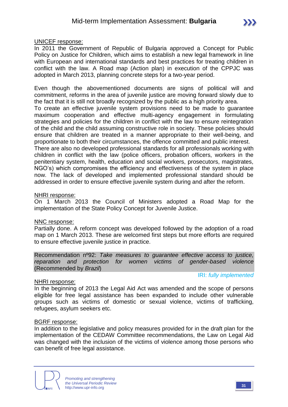#### UNICEF response:

In 2011 the Government of Republic of Bulgaria approved a Concept for Public Policy on Justice for Children, which aims to establish a new legal framework in line with European and international standards and best practices for treating children in conflict with the law. A Road map (Action plan) in execution of the CPPJC was adopted in March 2013, planning concrete steps for a two-year period.

Even though the abovementioned documents are signs of political will and commitment, reforms in the area of juvenile justice are moving forward slowly due to the fact that it is still not broadly recognized by the public as a high priority area.

To create an effective juvenile system provisions need to be made to guarantee maximum cooperation and effective multi-agency engagement in formulating strategies and policies for the children in conflict with the law to ensure reintegration of the child and the child assuming constructive role in society. These policies should ensure that children are treated in a manner appropriate to their well-being, and proportionate to both their circumstances, the offence committed and public interest.

There are also no developed professional standards for all professionals working with children in conflict with the law (police officers, probation officers, workers in the penitentiary system, health, education and social workers, prosecutors, magistrates, NGO's) which compromises the efficiency and effectiveness of the system in place now. The lack of developed and implemented professional standard should be addressed in order to ensure effective juvenile system during and after the reform.

#### NHRI response:

On 1 March 2013 the Council of Ministers adopted a Road Map for the implementation of the State Policy Concept for Juvenile Justice.

#### NNC response:

Partially done. A reform concept was developed followed by the adoption of a road map on 1 March 2013. These are welcomed first steps but more efforts are required to ensure effective juvenile justice in practice.

Recommendation nº92: *Take measures to guarantee effective access to justice, reparation and protection for women victims of gender-based violence* (Recommended by *Brazil*)

IRI: *fully implemented*

#### NHRI response:

In the beginning of 2013 the Legal Aid Act was amended and the scope of persons eligible for free legal assistance has been expanded to include other vulnerable groups such as victims of domestic or sexual violence, victims of trafficking, refugees, asylum seekers etc.

#### BGRF response:

In addition to the legislative and policy measures provided for in the draft plan for the implementation of the CEDAW Committee recommendations, the Law on Legal Aid was changed with the inclusion of the victims of violence among those persons who can benefit of free legal assistance.

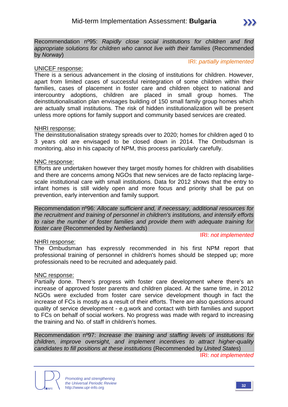#### IRI: *partially implemented*

#### UNICEF response:

There is a serious advancement in the closing of institutions for children. However, apart from limited cases of successful reintegration of some children within their families, cases of placement in foster care and children object to national and intercountry adoptions, children are placed in small group homes. The deinstitutionalisation plan envisages building of 150 small family group homes which are actually small institutions. The risk of hidden institutionalization will be present unless more options for family support and community based services are created.

#### NHRI response:

The deinstitutionalisation strategy spreads over to 2020; homes for children aged 0 to 3 years old are envisaged to be closed down in 2014. The Ombudsman is monitoring, also in his capacity of NPM, this process particularly carefully.

#### NNC response:

Efforts are undertaken however they target mostly homes for children with disabilities and there are concerns among NGOs that new services are de facto replacing largescale institutional care with small institutions. Data for 2012 shows that the entry to infant homes is still widely open and more focus and priority shall be put on prevention, early intervention and family support.

Recommendation nº96: *Allocate sufficient and, if necessary, additional resources for the recruitment and training of personnel in children's institutions, and intensify efforts to raise the number of foster families and provide them with adequate training for foster care* (Recommended by *Netherlands*)

#### NHRI response:

IRI: *not implemented*

The Ombudsman has expressly recommended in his first NPM report that professional training of personnel in children's homes should be stepped up; more professionals need to be recruited and adequately paid.

#### NNC response:

Partially done. There's progress with foster care development where there's an increase of approved foster parents and children placed. At the same time, in 2012 NGOs were excluded from foster care service development though in fact the increase of FCs is mostly as a result of their efforts. There are also questions around quality of service development - e.g.work and contact with birth families and support to FCs on behalf of social workers. No progress was made with regard to increasing the training and No. of staff in children's homes.

Recommendation nº97: *Increase the training and staffing levels of institutions for children, improve oversight, and implement incentives to attract higher-quality candidates to fill positions at these institutions* (Recommended by *United States*) IRI: *not implemented*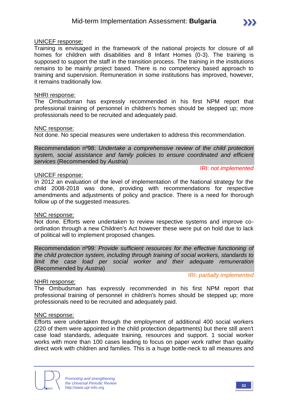#### UNICEF response:

Training is envisaged in the framework of the national projects for closure of all homes for children with disabilities and 8 Infant Homes (0-3). The training is supposed to support the staff in the transition process. The training in the institutions remains to be mainly project based. There is no competency based approach to training and supervision. Remuneration in some institutions has improved, however, it remains traditionally low.

#### NHRI response:

The Ombudsman has expressly recommended in his first NPM report that professional training of personnel in children's homes should be stepped up; more professionals need to be recruited and adequately paid.

#### NNC response:

Not done. No special measures were undertaken to address this recommendation.

Recommendation nº98: *Undertake a comprehensive review of the child protection system, social assistance and family policies to ensure coordinated and efficient services* (Recommended by *Austria*)

#### UNICEF response:

In 2012 an evaluation of the level of implementation of the National strategy for the child 2008-2018 was done, providing with recommendations for respective amendments and adjustments of policy and practice. There is a need for thorough follow up of the suggested measures.

#### NNC response:

Not done. Efforts were undertaken to review respective systems and improve coordination through a new Children's Act however these were put on hold due to lack of political will to implement proposed changes.

Recommendation nº99: *Provide sufficient resources for the effective functioning of the child protection system, including through training of social workers, standards to limit the case load per social worker and their adequate remuneration* (Recommended by *Austria*)

#### NHRI response:

IRI: *partially implemented*

IRI: *not implemented*

The Ombudsman has expressly recommended in his first NPM report that professional training of personnel in children's homes should be stepped up; more professionals need to be recruited and adequately paid.

#### NNC response:

Efforts were undertaken through the employment of additional 400 social workers (220 of them were appointed in the child protection departments) but there still aren't case load standards, adequate training, resources and support. 1 social worker works with more than 100 cases leading to focus on paper work rather than quality direct work with children and families. This is a huge bottle-neck to all measures and

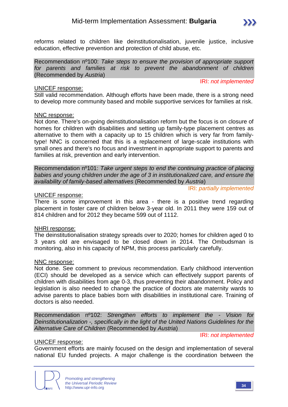

reforms related to children like deinstitutionalisation, juvenile justice, inclusive education, effective prevention and protection of child abuse, etc.

Recommendation nº100: *Take steps to ensure the provision of appropriate support for parents and families at risk to prevent the abandonment of children* (Recommended by *Austria*)

#### UNICEF response:

IRI: *not implemented*

Still valid recommendation. Although efforts have been made, there is a strong need to develop more community based and mobile supportive services for families at risk.

#### NNC response:

Not done. There's on-going deinstitutionalisation reform but the focus is on closure of homes for children with disabilities and setting up family-type placement centres as alternative to them with a capacity up to 15 children which is very far from familytype! NNC is concerned that this is a replacement of large-scale institutions with small ones and there's no focus and investment in appropriate support to parents and families at risk, prevention and early intervention.

Recommendation nº101: *Take urgent steps to end the continuing practice of placing babies and young children under the age of 3 in institutionalized care, and ensure the availability of family-based alternatives* (Recommended by *Austria*)

IRI: *partially implemented*

#### UNICEF response:

There is some improvement in this area - there is a positive trend regarding placement in foster care of children below 3-year old. In 2011 they were 159 out of 814 children and for 2012 they became 599 out of 1112.

#### NHRI response:

The deinstitutionalisation strategy spreads over to 2020; homes for children aged 0 to 3 years old are envisaged to be closed down in 2014. The Ombudsman is monitoring, also in his capacity of NPM, this process particularly carefully.

#### NNC response:

Not done. See comment to previous recommendation. Early childhood intervention (ECI) should be developed as a service which can effectively support parents of children with disabilities from age 0-3, thus preventing their abandonment. Policy and legislation is also needed to change the practice of doctors ate maternity wards to advise parents to place babies born with disabilities in institutional care. Training of doctors is also needed.

Recommendation nº102: *Strengthen efforts to implement the - Vision for Deinstitutionalization -, specifically in the light of the United Nations Guidelines for the Alternative Care of Children* (Recommended by *Austria*)

IRI: *not implemented*

#### UNICEF response:

Government efforts are mainly focused on the design and implementation of several national EU funded projects. A major challenge is the coordination between the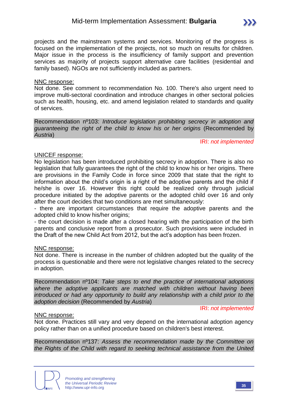projects and the mainstream systems and services. Monitoring of the progress is focused on the implementation of the projects, not so much on results for children. Major issue in the process is the insufficiency of family support and prevention services as majority of projects support alternative care facilities (residential and family based). NGOs are not sufficiently included as partners.

#### NNC response:

Not done. See comment to recommendation No. 100. There's also urgent need to improve multi-sectoral coordination and introduce changes in other sectoral policies such as health, housing, etc. and amend legislation related to standards and quality of services.

Recommendation nº103: *Introduce legislation prohibiting secrecy in adoption and guaranteeing the right of the child to know his or her origins* (Recommended by *Austria*)

IRI: *not implemented*

#### UNICEF response:

No legislation has been introduced prohibiting secrecy in adoption. There is also no legislation that fully guarantees the right of the child to know his or her origins. There are provisions in the Family Code in force since 2009 that state that the right to information about the child's origin is a right of the adoptive parents and the child if he/she is over 16. However this right could be realized only through judicial procedure initiated by the adoptive parents or the adopted child over 16 and only after the court decides that two conditions are met simultaneously:

- there are important circumstances that require the adoptive parents and the adopted child to know his/her origins;

- the court decision is made after a closed hearing with the participation of the birth parents and conclusive report from a prosecutor. Such provisions were included in the Draft of the new Child Act from 2012, but the act's adoption has been frozen.

#### NNC response:

Not done. There is increase in the number of children adopted but the quality of the process is questionable and there were not legislative changes related to the secrecy in adoption.

Recommendation nº104: *Take steps to end the practice of international adoptions where the adoptive applicants are matched with children without having been introduced or had any opportunity to build any relationship with a child prior to the adoption decision* (Recommended by *Austria*)

IRI: *not implemented*

#### NNC response:

Not done. Practices still vary and very depend on the international adoption agency policy rather than on a unified procedure based on children's best interest.

Recommendation nº137: *Assess the recommendation made by the Committee on the Rights of the Child with regard to seeking technical assistance from the United*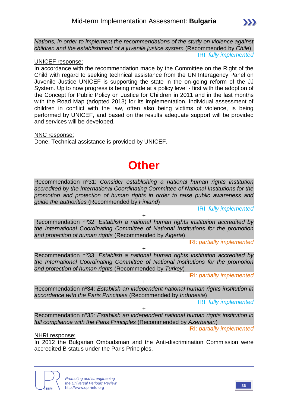

*Nations, in order to implement the recommendations of the study on violence against children and the establishment of a juvenile justice system* (Recommended by *Chile*) IRI: *fully implemented*

#### UNICEF response:

In accordance with the recommendation made by the Committee on the Right of the Child with regard to seeking technical assistance from the UN Interagency Panel on Juvenile Justice UNICEF is supporting the state in the on-going reform of the JJ System. Up to now progress is being made at a policy level - first with the adoption of the Concept for Public Policy on Justice for Children in 2011 and in the last months with the Road Map (adopted 2013) for its implementation. Individual assessment of children in conflict with the law, often also being victims of violence, is being performed by UNICEF, and based on the results adequate support will be provided and services will be developed.

NNC response:

Done. Technical assistance is provided by UNICEF.

# **Other**

Recommendation nº31: *Consider establishing a national human rights institution accredited by the International Coordinating Committee of National Institutions for the promotion and protection of human rights in order to raise public awareness and guide the authorities* (Recommended by *Finland*)

IRI: *fully implemented*

Recommendation nº32: *Establish a national human rights institution accredited by the International Coordinating Committee of National Institutions for the promotion and protection of human rights* (Recommended by *Algeria*)

+

IRI: *partially implemented*

+

Recommendation nº33: *Establish a national human rights institution accredited by the International Coordinating Committee of National Institutions for the promotion and protection of human rights* (Recommended by *Turkey*)

IRI: *partially implemented*

+ Recommendation nº34: *Establish an independent national human rights institution in accordance with the Paris Principles* (Recommended by *Indonesia*)

IRI: *fully implemented*

Recommendation nº35: *Establish an independent national human rights institution in full compliance with the Paris Principles* (Recommended by *Azerbaijan*)

+

IRI: *partially implemented*

#### NHRI response:

In 2012 the Bulgarian Ombudsman and the Anti-discrimination Commission were accredited B status under the Paris Principles.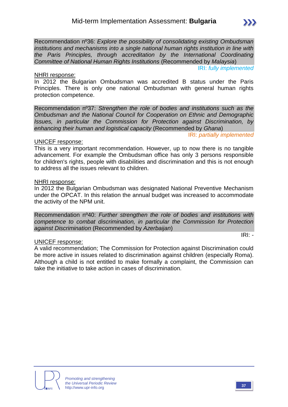Recommendation nº36: *Explore the possibility of consolidating existing Ombudsman institutions and mechanisms into a single national human rights institution in line with the Paris Principles, through accreditation by the International Coordinating Committee of National Human Rights Institutions* (Recommended by *Malaysia*)

#### IRI: *fully implemented*

#### NHRI response:

In 2012 the Bulgarian Ombudsman was accredited B status under the Paris Principles. There is only one national Ombudsman with general human rights protection competence.

Recommendation nº37: *Strengthen the role of bodies and institutions such as the Ombudsman and the National Council for Cooperation on Ethnic and Demographic Issues, in particular the Commission for Protection against Discrimination, by enhancing their human and logistical capacity* (Recommended by *Ghana*)

IRI: *partially implemented*

#### UNICEF response:

This is a very important recommendation. However, up to now there is no tangible advancement. For example the Ombudsman office has only 3 persons responsible for children's rights, people with disabilities and discrimination and this is not enough to address all the issues relevant to children.

#### NHRI response:

In 2012 the Bulgarian Ombudsman was designated National Preventive Mechanism under the OPCAT. In this relation the annual budget was increased to accommodate the activity of the NPM unit.

Recommendation nº40: *Further strengthen the role of bodies and institutions with competence to combat discrimination, in particular the Commission for Protection against Discrimination* (Recommended by *Azerbaijan*)

#### UNICEF response:

A valid recommendation; The Commission for Protection against Discrimination could be more active in issues related to discrimination against children (especially Roma). Although a child is not entitled to make formally a complaint, the Commission can take the initiative to take action in cases of discrimination.





IRI: *-*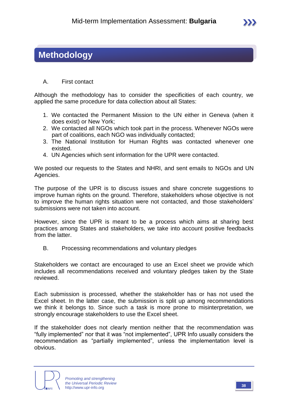### **Methodology**

#### A. First contact

Although the methodology has to consider the specificities of each country, we applied the same procedure for data collection about all States:

- 1. We contacted the Permanent Mission to the UN either in Geneva (when it does exist) or New York;
- 2. We contacted all NGOs which took part in the process. Whenever NGOs were part of coalitions, each NGO was individually contacted;
- 3. The National Institution for Human Rights was contacted whenever one existed.
- 4. UN Agencies which sent information for the UPR were contacted.

We posted our requests to the States and NHRI, and sent emails to NGOs and UN Agencies.

The purpose of the UPR is to discuss issues and share concrete suggestions to improve human rights on the ground. Therefore, stakeholders whose objective is not to improve the human rights situation were not contacted, and those stakeholders' submissions were not taken into account.

However, since the UPR is meant to be a process which aims at sharing best practices among States and stakeholders, we take into account positive feedbacks from the latter.

B. Processing recommendations and voluntary pledges

Stakeholders we contact are encouraged to use an Excel sheet we provide which includes all recommendations received and voluntary pledges taken by the State reviewed.

Each submission is processed, whether the stakeholder has or has not used the Excel sheet. In the latter case, the submission is split up among recommendations we think it belongs to. Since such a task is more prone to misinterpretation, we strongly encourage stakeholders to use the Excel sheet.

If the stakeholder does not clearly mention neither that the recommendation was "fully implemented" nor that it was "not implemented", UPR Info usually considers the recommendation as "partially implemented", unless the implementation level is obvious.



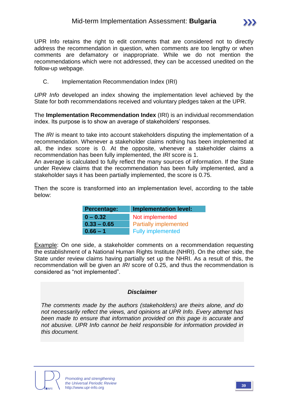UPR Info retains the right to edit comments that are considered not to directly address the recommendation in question, when comments are too lengthy or when comments are defamatory or inappropriate. While we do not mention the recommendations which were not addressed, they can be accessed unedited on the follow-up webpage.

C. Implementation Recommendation Index (IRI)

*UPR Info* developed an index showing the implementation level achieved by the State for both recommendations received and voluntary pledges taken at the UPR.

The **Implementation Recommendation Index** (IRI) is an individual recommendation index. Its purpose is to show an average of stakeholders' responses.

The *IRI* is meant to take into account stakeholders disputing the implementation of a recommendation. Whenever a stakeholder claims nothing has been implemented at all, the index score is 0. At the opposite, whenever a stakeholder claims a recommendation has been fully implemented, the *IRI* score is 1.

An average is calculated to fully reflect the many sources of information. If the State under Review claims that the recommendation has been fully implemented, and a stakeholder says it has been partially implemented, the score is 0.75.

Then the score is transformed into an implementation level, according to the table below:

| <b>Percentage:</b> | <b>Implementation level:</b> |  |  |  |  |
|--------------------|------------------------------|--|--|--|--|
| $0 - 0.32$         | Not implemented              |  |  |  |  |
| $0.33 - 0.65$      | <b>Partially implemented</b> |  |  |  |  |
| $0.66 - 1$         | <b>Fully implemented</b>     |  |  |  |  |

Example: On one side, a stakeholder comments on a recommendation requesting the establishment of a National Human Rights Institute (NHRI). On the other side, the State under review claims having partially set up the NHRI. As a result of this, the recommendation will be given an *IRI* score of 0.25, and thus the recommendation is considered as "not implemented".

#### *Disclaimer*

*The comments made by the authors (stakeholders) are theirs alone, and do not necessarily reflect the views, and opinions at UPR Info. Every attempt has been made to ensure that information provided on this page is accurate and not abusive. UPR Info cannot be held responsible for information provided in this document.*

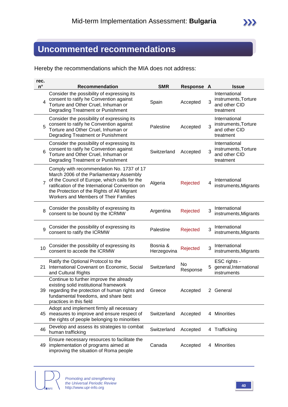### **Uncommented recommendations**

Hereby the recommendations which the MIA does not address:

| rec.<br>$n^{\circ}$ | <b>Recommendation</b>                                                                                                                                                                                                                                                             | <b>SMR</b>              | <b>Response A</b> |   | <b>Issue</b>                                                        |
|---------------------|-----------------------------------------------------------------------------------------------------------------------------------------------------------------------------------------------------------------------------------------------------------------------------------|-------------------------|-------------------|---|---------------------------------------------------------------------|
| 4                   | Consider the possibility of expressing its<br>consent to ratify he Convention against<br>Torture and Other Cruel, Inhuman or<br>Degrading Treatment or Punishment                                                                                                                 | Spain                   | Accepted          | 3 | International<br>instruments, Torture<br>and other CID<br>treatment |
| 5                   | Consider the possibility of expressing its<br>consent to ratify he Convention against<br>Torture and Other Cruel, Inhuman or<br>Degrading Treatment or Punishment                                                                                                                 | Palestine               | Accepted          | 3 | International<br>instruments, Torture<br>and other CID<br>treatment |
| 6                   | Consider the possibility of expressing its<br>consent to ratify he Convention against<br>Torture and Other Cruel, Inhuman or<br>Degrading Treatment or Punishment                                                                                                                 | Switzerland             | Accepted          | 3 | International<br>instruments, Torture<br>and other CID<br>treatment |
| $\overline{7}$      | Comply with recommendation No. 1737 of 17<br>March 2006 of the Parliamentary Assembly<br>of the Council of Europe, which calls for the<br>ratification of the International Convention on<br>the Protection of the Rights of All Migrant<br>Workers and Members of Their Families | Algeria                 | Rejected          | 4 | International<br>instruments, Migrants                              |
| 8                   | Consider the possibility of expressing its<br>consent to be bound by the ICRMW                                                                                                                                                                                                    | Argentina               | Rejected          | 3 | International<br>instruments, Migrants                              |
| 9                   | Consider the possibility of expressing its<br>consent to ratify the ICRMW                                                                                                                                                                                                         | Palestine               | Rejected          | 3 | International<br>instruments, Migrants                              |
| 10                  | Consider the possibility of expressing its<br>consent to accede the ICRMW                                                                                                                                                                                                         | Bosnia &<br>Herzegovina | Rejected          | 3 | International<br>instruments, Migrants                              |
| 21                  | Ratify the Optional Protocol to the<br>International Covenant on Economic, Social<br>and Cultural Rights                                                                                                                                                                          | Switzerland             | No<br>Response    |   | ESC rights -<br>general, International<br>instruments               |
|                     | Continue to further improve the already<br>existing solid institutional framework<br>39 regarding the protection of human rights and<br>fundamental freedoms, and share best<br>practices in this field                                                                           | Greece                  | Accepted          |   | 2 General                                                           |
|                     | Adopt and implement firmly all necessary<br>45 measures to improve and ensure respect of<br>the rights of people belonging to minorities                                                                                                                                          | Switzerland             | Accepted          |   | 4 Minorities                                                        |
| 46                  | Develop and assess its strategies to combat<br>human trafficking                                                                                                                                                                                                                  | Switzerland             | Accepted          |   | 4 Trafficking                                                       |
|                     | Ensure necessary resources to facilitate the<br>49 implementation of programs aimed at<br>improving the situation of Roma people                                                                                                                                                  | Canada                  | Accepted          | 4 | <b>Minorities</b>                                                   |

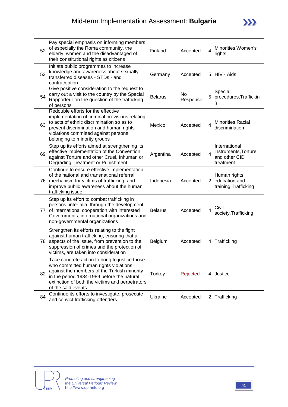| 52 | Pay special emphasis on informing members<br>of especially the Roma community, the<br>elderly, women and the disadvantaged of<br>their constitutional rights as citizens                                                                                      | Finland        | Accepted       | 4 | Minorities, Women's<br>rights                                       |
|----|---------------------------------------------------------------------------------------------------------------------------------------------------------------------------------------------------------------------------------------------------------------|----------------|----------------|---|---------------------------------------------------------------------|
| 53 | Initiate public programmes to increase<br>knowledge and awareness about sexually<br>transferred diseases - STDs - and<br>contraception                                                                                                                        | Germany        | Accepted       |   | 5 HIV - Aids                                                        |
| 54 | Give positive consideration to the request to<br>carry out a visit to the country by the Special<br>Rapporteur on the question of the trafficking<br>of persons                                                                                               | <b>Belarus</b> | No<br>Response | 5 | Special<br>procedures, Traffickin<br>g                              |
| 63 | Redouble efforts for the effective<br>implementation of criminal provisions relating<br>to acts of ethnic discrimination so as to<br>prevent discrimination and human rights<br>violations committed against persons<br>belonging to minority groups          | Mexico         | Accepted       | 4 | Minorities, Racial<br>discrimination                                |
| 69 | Step up its efforts aimed at strengthening its<br>effective implementation of the Convention<br>against Torture and other Cruel, Inhuman or<br>Degrading Treatment or Punishment                                                                              | Argentina      | Accepted       | 4 | International<br>instruments, Torture<br>and other CID<br>treatment |
|    | Continue to ensure effective implementation<br>of the national and transnational referral<br>76 mechanism for victims of trafficking, and<br>improve public awareness about the human<br>trafficking issue                                                    | Indonesia      | Accepted       |   | Human rights<br>2 education and<br>training, Trafficking            |
|    | Step up its effort to combat trafficking in<br>persons, inter alia, through the development<br>77 of international cooperation with interested<br>Governments, international organizations and<br>non-governmental organizations                              | <b>Belarus</b> | Accepted       | 4 | Civil<br>society, Trafficking                                       |
| 78 | Strengthen its efforts relating to the fight<br>against human trafficking, ensuring that all<br>aspects of the issue, from prevention to the<br>suppression of crimes and the protection of<br>victims, are taken into consideration                          | <b>Belgium</b> | Accepted       |   | 4 Trafficking                                                       |
| 82 | Take concrete action to bring to justice those<br>who committed human rights violations<br>against the members of the Turkish minority<br>in the period 1984-1989 before the natural<br>extinction of both the victims and perpetrators<br>of the said events | Turkey         | Rejected       |   | 4 Justice                                                           |
| 84 | Continue its efforts to investigate, prosecute<br>and convict trafficking offenders                                                                                                                                                                           | <b>Ukraine</b> | Accepted       |   | 2 Trafficking                                                       |

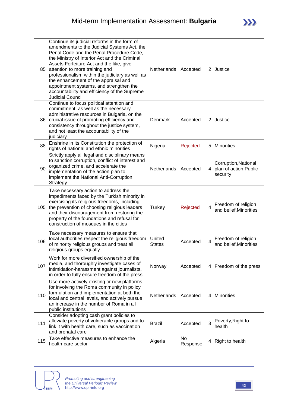| 85  | Continue its judicial reforms in the form of<br>amendments to the Judicial Systems Act, the<br>Penal Code and the Penal Procedure Code,<br>the Ministry of Interior Act and the Criminal<br>Assets Forfeiture Act and the like, give<br>attention to more training and<br>professionalism within the judiciary as well as<br>the enhancement of the appraisal and<br>appointment systems, and strengthen the<br>accountability and efficiency of the Supreme<br><b>Judicial Council</b> | Netherlands Accepted    |                |   | 2 Justice                                                  |
|-----|-----------------------------------------------------------------------------------------------------------------------------------------------------------------------------------------------------------------------------------------------------------------------------------------------------------------------------------------------------------------------------------------------------------------------------------------------------------------------------------------|-------------------------|----------------|---|------------------------------------------------------------|
|     | Continue to focus political attention and<br>commitment, as well as the necessary<br>administrative resources in Bulgaria, on the<br>86 crucial issue of promoting efficiency and<br>consistency throughout the justice system,<br>and not least the accountability of the<br>judiciary                                                                                                                                                                                                 | Denmark                 | Accepted       |   | 2 Justice                                                  |
| 88  | Enshrine in its Constitution the protection of<br>rights of national and ethnic minorities                                                                                                                                                                                                                                                                                                                                                                                              | Nigeria                 | Rejected       |   | 5 Minorities                                               |
| 90  | Strictly apply all legal and disciplinary means<br>to sanction corruption, conflict of interest and<br>organized crime, and accelerate the<br>implementation of the action plan to<br>implement the National Anti-Corruption<br>Strategy                                                                                                                                                                                                                                                | Netherlands Accepted    |                | 4 | Corruption, National<br>plan of action, Public<br>security |
| 105 | Take necessary action to address the<br>impediments faced by the Turkish minority in<br>exercising its religious freedoms, including<br>the prevention of choosing religious leaders<br>and their discouragement from restoring the<br>property of the foundations and refusal for<br>construction of mosques in the cities                                                                                                                                                             | <b>Turkey</b>           | Rejected       | 4 | Freedom of religion<br>and belief, Minorities              |
| 106 | Take necessary measures to ensure that<br>local authorities respect the religious freedom<br>of minority religious groups and treat all<br>religious groups equally                                                                                                                                                                                                                                                                                                                     | United<br><b>States</b> | Accepted       | 4 | Freedom of religion<br>and belief, Minorities              |
| 107 | Work for more diversified ownership of the<br>media, and thoroughly investigate cases of<br>intimidation-harassment against journalists,<br>in order to fully ensure freedom of the press                                                                                                                                                                                                                                                                                               | Norway                  | Accepted       |   | 4 Freedom of the press                                     |
| 110 | Use more actively existing or new platforms<br>for involving the Roma community in policy<br>formulation and implementation at both the<br>local and central levels, and actively pursue<br>an increase in the number of Roma in all<br>public institutions                                                                                                                                                                                                                             | Netherlands Accepted    |                |   | 4 Minorities                                               |
| 111 | Consider adopting cash grant policies to<br>alleviate poverty of vulnerable groups and to<br>link it with health care, such as vaccination<br>and prenatal care                                                                                                                                                                                                                                                                                                                         | <b>Brazil</b>           | Accepted       | 3 | Poverty, Right to<br>health                                |
| 115 | Take effective measures to enhance the<br>health-care sector                                                                                                                                                                                                                                                                                                                                                                                                                            | Algeria                 | No<br>Response | 4 | Right to health                                            |

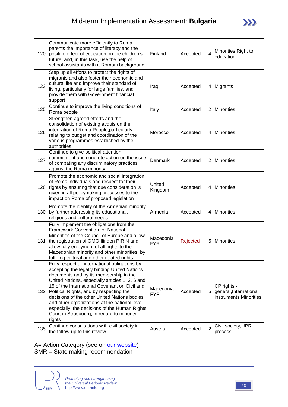| 120 | Communicate more efficiently to Roma<br>parents the importance of literacy and the<br>positive effect of education on the children's<br>future, and, in this task, use the help of<br>school assistants with a Romani background                                                                                                                                                                                                                                                                       | Finland                 | Accepted | 4              | Minorities, Right to<br>education                                  |
|-----|--------------------------------------------------------------------------------------------------------------------------------------------------------------------------------------------------------------------------------------------------------------------------------------------------------------------------------------------------------------------------------------------------------------------------------------------------------------------------------------------------------|-------------------------|----------|----------------|--------------------------------------------------------------------|
| 123 | Step up all efforts to protect the rights of<br>migrants and also foster their economic and<br>cultural life and improve their standard of<br>living, particularly for large families, and<br>provide them with Government financial<br>support                                                                                                                                                                                                                                                        | Iraq                    | Accepted |                | 4 Migrants                                                         |
| 125 | Continue to improve the living conditions of<br>Roma people                                                                                                                                                                                                                                                                                                                                                                                                                                            | Italy                   | Accepted |                | 2 Minorities                                                       |
| 126 | Strengthen agreed efforts and the<br>consolidation of existing acquis on the<br>integration of Roma People, particularly<br>relating to budget and coordination of the<br>various programmes established by the<br>authorities                                                                                                                                                                                                                                                                         | Morocco                 | Accepted |                | 4 Minorities                                                       |
| 127 | Continue to give political attention,<br>commitment and concrete action on the issue<br>of combating any discriminatory practices<br>against the Roma minority                                                                                                                                                                                                                                                                                                                                         | Denmark                 | Accepted |                | 2 Minorities                                                       |
|     | Promote the economic and social integration<br>of Roma individuals and respect for their<br>128 rights by ensuring that due consideration is<br>given in all policymaking processes to the<br>impact on Roma of proposed legislation                                                                                                                                                                                                                                                                   | United<br>Kingdom       | Accepted |                | 4 Minorities                                                       |
| 130 | Promote the identity of the Armenian minority<br>by further addressing its educational,<br>religious and cultural needs                                                                                                                                                                                                                                                                                                                                                                                | Armenia                 | Accepted |                | 4 Minorities                                                       |
| 131 | Fully implement the obligations from the<br><b>Framework Convention for National</b><br>Minorities of the Council of Europe and allow<br>the registration of OMO Ilinden PIRIN and<br>allow fully enjoyment of all rights to the<br>Macedonian minority and other minorities, by<br>fulfilling cultural and other related rights                                                                                                                                                                       | Macedonia<br><b>FYR</b> | Rejected |                | 5 Minorities                                                       |
|     | Fully respect all international obligations by<br>accepting the legally binding United Nations<br>documents and by its membership in the<br>United Nations, especially articles 1, 3, 6 and<br>15 of the International Covenant on Civil and<br>132 Political Rights, and by respecting the<br>decisions of the other United Nations bodies<br>and other organizations at the national level,<br>especially, the decisions of the Human Rights<br>Court in Strasbourg, in regard to minority<br>rights | Macedonia<br><b>FYR</b> | Accepted |                | CP rights -<br>5 general, International<br>instruments, Minorities |
| 135 | Continue consultations with civil society in<br>the follow-up to this review                                                                                                                                                                                                                                                                                                                                                                                                                           | Austria                 | Accepted | $\overline{2}$ | Civil society, UPR<br>process                                      |

A= Action Category (see on **our website)** SMR = State making recommendation

**INFO**